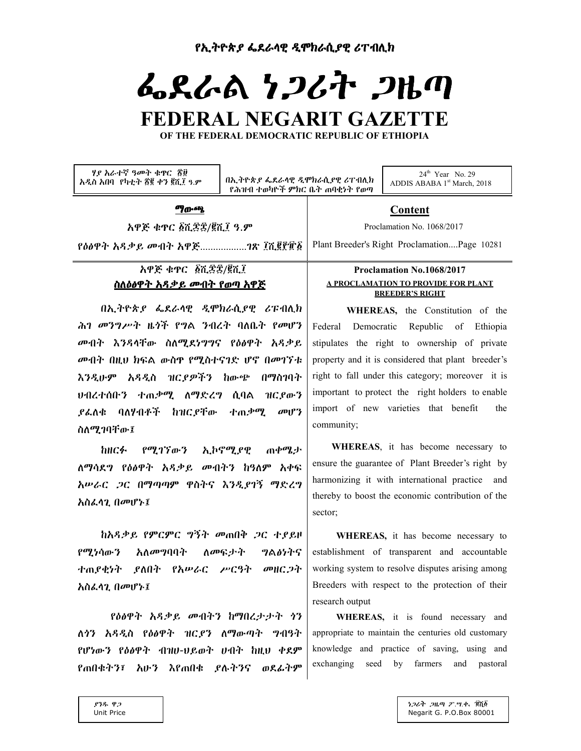# ፌደራል ነጋሪት ጋዜጣ FEDERAL NEGARIT GAZETTE

OF THE FEDERAL DEMOCRATIC REPUBLIC OF ETHIOPIA

ሃያ አራተኛ ዓመት ቁዋር ጃ፱ አዲስ አበባ የካቲት ፳፪ ቀን ፪ሺ፲ ዓ.ም

በኢትዮጵያ ፌደራሳዊ ዲሞክራሲያዊ ሪፐብሊክ የሕዝብ ተወካዮች ምክር ቤት ጠባቂነት የወጣ

 $24^{\text{th}}$  Year No. 29 ADDIS ABABA 1st March, 2018

#### **ማ**ውጫ

አዋጅ ቁዋር ፩ሺ፰፰/፪ሺ፤ ዓ.ም

# አዋጅ ቁዋር ፩ሺ፰፰/፪ሺ፲ <u>ስለዕፅዋት አዳቃይ መብት የወጣ አዋጅ</u>

በኢትዮጵያ ፌደራሳዊ ዲሞክራሲያዊ ሪፑብሊክ ሕገ መንግሥት ዜጎች የግል ንብረት ባለቤት የመሆን መብት እንዳሳቸው ስለሚደነግግና የዕፅዋት አዳቃይ መብት በዚህ ክፍል ውስዋ የሚስተናገድ ሆኖ በመገኘቱ እንዲሁም አዳዲስ ዝርያዎችን ከውጭ በማስገባት <u> ህብረተሰቡን ተጠቃሚ ለማድረግ ሲባል ዝርደውን</u> ያፌለቁ ባለሃብቶች ከዝርደቸው ተጠቃሚ  $\omega$ <sup>2</sup> ስለሚገባቸው፤

ከዘርፉ የሚገኘውን ኢኮኖሚያዊ ጠቀሚታ ለማሳደግ የዕፅዋት አዳቃይ መብትን ከዓለም አቀፍ አሥራር *ጋ*ር በማጣጣም ዋስትና እንዲያገኝ ማድረግ አስፌሳጊ በመሆኑ፤

ከአዳቃይ የምርምር ግኝት መጠበቅ ጋር ተደይዞ የሚነሳውን አለመግባባት ስመፍታት ግልፅነትና ተጠያቂነት ያለበት የአሥራር ሥርዓት መዘርጋት አስፌሳጊ በመሆኑ፤

የዕፅዋት አዳቃይ መብትን ከማበረታታት ነን ለሳን አዳዲስ የዕፅዋት ዝርደን ለማውጣት ግብዓት የሆነውን የዕፅዋት ብዝሀ-ህይወት ሀብት ከዚህ ቀደም የጠበቁትን፣ አሁን እየጠበቁ ያሉትንና ወደፊትም

# Proclamation No.1068/2017

Content

Plant Breeder's Right Proclamation....Page 10281

Proclamation No. 1068/2017

# A PROCLAMATION TO PROVIDE FOR PLANT **BREEDER'S RIGHT**

WHEREAS, the Constitution of the Federal Democratic Republic of Ethiopia stipulates the right to ownership of private property and it is considered that plant breeder's right to fall under this category; moreover it is important to protect the right holders to enable import of new varieties that benefit the community;

WHEREAS, it has become necessary to ensure the guarantee of Plant Breeder's right by harmonizing it with international practice and thereby to boost the economic contribution of the sector;

WHEREAS, it has become necessary to establishment of transparent and accountable working system to resolve disputes arising among Breeders with respect to the protection of their research output

WHEREAS, it is found necessary and appropriate to maintain the centuries old customary knowledge and practice of saving, using and exchanging seed by farmers and pastoral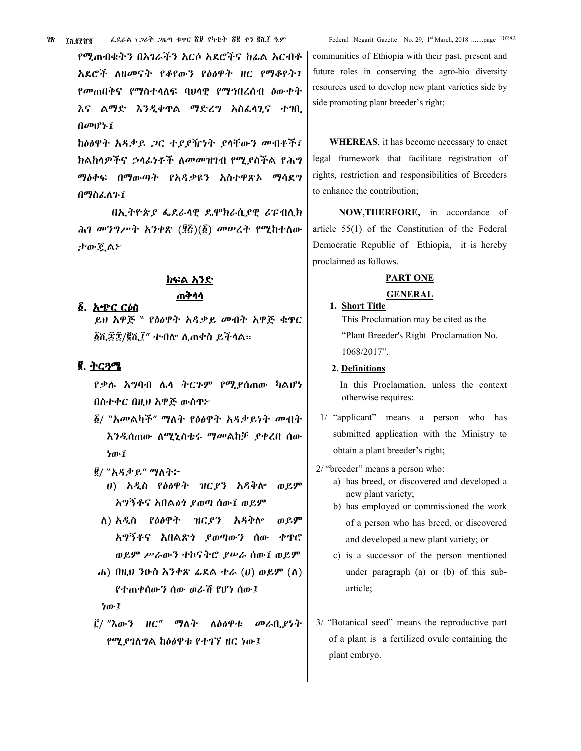Federal Negarit Gazette No. 29, 1st March, 2018 .......page 10282

የሚጠብቁትን በአገራችን አርሶ አደሮችና ከፊል አርብቶ አደሮች ለዘመናት የቆየውን የዕፅዋት ዘር የማቆየት፣ የመጠበቅና የማስተሳለፍ ባህላዊ የማኅበረሰብ ዕውቀት እና ልማድ እንዲቀዋል ማድረግ አስፌሳጊና ተገቢ በመሆኑ፤

ከዕፅዋት አዳቃይ ጋር ተደደዥነት ደላቸውን መብቶች፣ ክልከላዎችና *ኃላፌነቶች ለመመዝገ*ብ የሚያስችል የሕግ ማዕቀፍ በማውጣት የአዳቃዩን አስተዋጽኦ ማሳደግ በማስፈለጉ፤

በኢትዮጵያ ፌደራሳዊ ዴሞክራሲያዊ ሪፑብሊክ ሕገ መንግሥት አንቀጽ (፶፭)(፩) መሠረት የሚከተለው ታውጀል፦

# <u>ክፍል አንድ</u>

# <u>ጠቅሳሳ</u>

ይህ አዋጅ `` የዕፅዋት አዳቃይ መብት አዋጅ ቁዋር ፩ሺ፷፷/፪ሺ፲" ተብሎ ሲጠቀስ ይችላል።

# <u>ጀ. ትርጓሜ</u>

፩. አጭር ርዕስ

የቃሉ አግባብ ሌላ ትርጉም የሚያሰጠው ካልሆነ በስተቀር በዚህ አዋጅ ውስዋ፦

- δ/ "አመልካች" ማለት የዕፅዋት አዳቃይነት መብት *እንዲ*ሰጠው ለሚኒስቴሩ ማመልከቻ *ያቀረ*በ ሰው ነው፤
- ፪/ "አዳቃይ" ማለት፦
	- ሀ) አዲስ የዕፅዋት ዝር*ያን* አዳቅሎ ወይም አግኝቶና አበልቃነ ደወጣ ሰው፤ ወይም
	- ለ) አዲስ የዕፅዋት ዝር የን አዳቅሎ ወይም አግኝቶና አበልጽጎ ያወጣውን ሰው ቀዋር ወይም ሥራውን ተኮናትሮ ያሥራ ሰው፤ ወይም
- ሐ) በዚህ ንዑስ አንቀጽ ፊደል ተራ  $(U)$  ወይም  $(\Lambda)$ የተጠቀሰውን ሰው ወራሽ የሆነ ሰው፤

ነው፤

፫/ "እውን ዘር" ማለት ለዕፅዋቱ መራቢያነት የሚያገለግል ከዕፅዋቱ የተገኘ ዘር ነው፤

communities of Ethiopia with their past, present and future roles in conserving the agro-bio diversity resources used to develop new plant varieties side by side promoting plant breeder's right;

**WHEREAS**, it has become necessary to enact legal framework that facilitate registration of rights, restriction and responsibilities of Breeders to enhance the contribution;

NOW, THERFORE, in accordance of article  $55(1)$  of the Constitution of the Federal Democratic Republic of Ethiopia, it is hereby proclaimed as follows.

#### **PART ONE**

#### **GENERAL**

1. Short Title This Proclamation may be cited as the "Plant Breeder's Right Proclamation No. 1068/2017".

#### 2. Definitions

In this Proclamation, unless the context otherwise requires:

- 1/ "applicant" means a person who has submitted application with the Ministry to obtain a plant breeder's right;
- 2/ "breeder" means a person who:
	- a) has breed, or discovered and developed a new plant variety;
	- b) has employed or commissioned the work of a person who has breed, or discovered and developed a new plant variety; or
	- c) is a successor of the person mentioned under paragraph (a) or (b) of this subarticle;
- 3/ "Botanical seed" means the reproductive part of a plant is a fertilized ovule containing the plant embryo.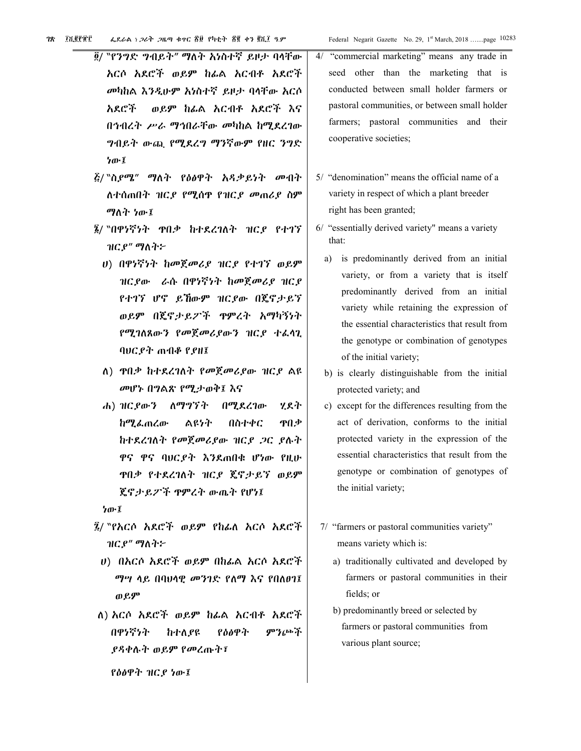- ፬/ ``የንግድ ግብይት" ማለት አነስተኛ ይዞታ ባላቸው አርሶ አደሮች ወይም ከፊል አርብቶ አደሮች መካከል እንዲሁም አነስተኛ ይዞታ ባላቸው አርሶ አደሮች ወይም ከፊል አርብቶ አደሮች እና በኅብረት ሥራ ማኅበራቸው መካከል ከሚደረገው *ግላ*ቢይት ውጪ የሚደረግ ማንኛውም የዘር ንግድ ነው፤
- ፭/ "ስ*ያሜ" ማ*ለት የዕፅዋት አዳቃይነት መብት ለተሰጠበት ዝርያ የሚሰዋ የዝርያ መጠሪያ ስም ማለት ነው፤
- ፮/ "በዋነኛነት ዋበቃ ከተደረገለት ዝርያ የተገኘ ዝርያ" ማስተ፦
	- ሀ) በዋነኛነት ከመጀመሪያ ዝርያ የተገኘ ወይም ዝርያው ራሱ በዋነኛነት ከመጀመሪያ ዝርያ የተገኘ ሆኖ ይኸውም ዝርያው በጄኖታይኘ ወይም በጀኖታይፖች ዋምረት አማካኝነት የሚገለጸውን የመጀመሪያውን ዝርያ ተፌሳጊ ባህር የት ጠብቆ የ የዘ፤
	- ለ) ዋበቃ ከተደረገለት የመጀመሪያው ዝርያ ልዩ መሆኑ በግልጽ የሚታወቅ፤ እና
	- ሐ) ዝርያውን ለማግኘት በሚደረገው ሃደት ከሚፌጠረው ልዩነት በስተቀር ዋበቃ ከተደረገለት የመጀመሪያው ዝርያ ጋር ያሉት ዋና ዋና ባህርያት እንደጠበቁ ሆነው የዚሁ ዋበቃ የተደረገለት ዝርደ ጄኖታይኘ ወይም ጄኖታይፖች ዋምረት ውጤት የሆነ፤

ነው፤

- ፯/ ``የእርሶ አደሮች ወይም የከፊለ አርሶ አደሮች ዝርያ" ማስተ፦
- υ) በአርሶ አደሮች ወይም በከፊል አርሶ አደሮች ማሣ ላይ በባህላዊ መንገድ የለማ እና የበለፀገ፤ ወይም
- ለ) እርሶ አደሮች ወይም ከፊል አርብቶ አደሮች በዋነኛነት የዕፅዋት ምንጮች ከተለያዩ *ያዳቀ*ሉተ ወይ**ም** የመረጡተ፣

የዕፅዋት ዝርያ ነው፤

- $4/$ "commercial marketing" means any trade in seed other than the marketing that is conducted between small holder farmers or pastoral communities, or between small holder farmers; pastoral communities and their cooperative societies;
- 5/ "denomination" means the official name of a variety in respect of which a plant breeder right has been granted;
- 6/ "essentially derived variety" means a variety that:
	- a) is predominantly derived from an initial variety, or from a variety that is itself predominantly derived from an initial variety while retaining the expression of the essential characteristics that result from the genotype or combination of genotypes of the initial variety;
	- b) is clearly distinguishable from the initial protected variety; and
	- c) except for the differences resulting from the act of derivation, conforms to the initial protected variety in the expression of the essential characteristics that result from the genotype or combination of genotypes of the initial variety;
- 7/ "farmers or pastoral communities variety" means variety which is:
	- a) traditionally cultivated and developed by farmers or pastoral communities in their fields; or
	- b) predominantly breed or selected by farmers or pastoral communities from various plant source;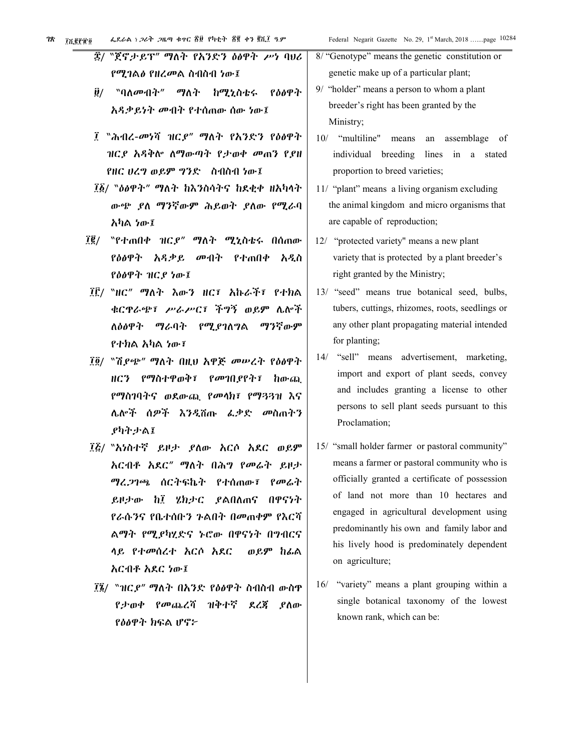|                                                  | 8/ "Genotype" means the genetic constitution or |
|--------------------------------------------------|-------------------------------------------------|
| ፰/ "ጀኖታይፕ" ማለት የአንድን ዕፅዋት ሥነ ባሀሪ                 | genetic make up of a particular plant;          |
| የሚገል∂ የዘረመል ስብስብ ነው፤                             | 9/ "holder" means a person to whom a plant      |
| $\ddot{\bm{y}}$ /<br>"ባለመብት" ማለት ከሚኒስቴሩ<br>የዕፅዋት | breeder's right has been granted by the         |
| አዳቃይነት መብት የተሰጠው ሰው ነው፤                          | Ministry;                                       |
| ፲ "ሕብረ-መነሻ ዝርያ" ማስት የአንድን የዕፅዋት                  | 10/ "multiline" means<br>an assemblage of       |
| ዝርያ አዳቅሎ ለማውጣት የታወቀ መጠን የያዘ                      | individual breeding lines in a stated           |
| የዘር ሀረግ ወይም ግንድ ሰብስብ ነው፤                         | proportion to breed varieties;                  |
| ፲፩/ ``ዕፅዋት" ማለት ከእንስሳትና ከደቂቀ ዘአካላት               | 11/ "plant" means a living organism excluding   |
| ውጭ ያለ ማንኛውም ሕይወት ያለው የሚራባ                        | the animal kingdom and micro organisms that     |
| አካል ነው፤                                          | are capable of reproduction;                    |
| $\vec{1}\vec{2}/\vec{2}$                         | 12/ "protected variety" means a new plant       |
| የዕፅዋት አዳቃይ መብት የተጠበቀ አዲስ                         | variety that is protected by a plant breeder's  |
| የዕፅዋት ዝርያ ነው፤                                    | right granted by the Ministry;                  |
| ፲፫/ "ዘር" ማለት እውን ዘር፣ አኩራች፣ የተክል                  | 13/ "seed" means true botanical seed, bulbs,    |
| ቁርዋራጭ፣ ሥራሥር፣ ችግኝ ወይም ሌሎች                         | tubers, cuttings, rhizomes, roots, seedlings or |
| ለዕፅዋት ማራባት የሚያገለግል<br>ማንኛውም                      | any other plant propagating material intended   |
| የተክል አካል ነው፣                                     | for planting;                                   |
| ፲፬/ "ሽያጭ" ማለት በዚህ አዋጅ መሥረት የዕፅዋት                 | "sell" means advertisement, marketing,<br>14/   |
| ዘርን የማስተዋወቅ፣ የመገቢያየት፣<br>ከውጪ                     | import and export of plant seeds, convey        |
| የማስገባትና ወደውጪ የመላክ፣ የማጓጓዝ እና                      | and includes granting a license to other        |
| ሌሎች ሰዎች እንዲሽጡ ፌቃድ መስጠትን                          | persons to sell plant seeds pursuant to this    |
| ያካትታል፤                                           | Proclamation;                                   |
| ፲፭/ "አነስተኛ ይዞታ ያለው አርሶ አደር ወይም                   | 15/ "small holder farmer or pastoral community" |
| <mark>አ</mark> ርብቶ አደር" ማለት በሕግ የመሬት ይዞታ         | means a farmer or pastoral community who is     |
| ማረ <i>ጋ</i> ገጫ ሰርትፍኬት የተሰጠው፤<br>የመሬት             | officially granted a certificate of possession  |
| ይዞታው ከ፤ ሄክታር ያልበለጠና<br>በዋናነት                     | of land not more than 10 hectares and           |
| የራሱንና የቤተሰቡን ንልበት በመጠቀም የእርሻ                     | engaged in agricultural development using       |
| ልማት የሚያካሂድና ኑሮው በዋናነት በግብርና                      | predominantly his own and family labor and      |
| ላይ የተመሰረተ አርሶ አደር<br>ወይም ከፌል                     | his lively hood is predominately dependent      |
| አርብቶ አደር ነው፤                                     | on agriculture;                                 |
| ፲፮/ ``ዝር.ዖ" ማለት በአንድ የዕፅዋት ስብስብ ውስዋ              | 16/ "variety" means a plant grouping within a   |
| የታወቀ የመጨረሻ ዝቅተኛ ደረጃ<br>.የስው                      | single botanical taxonomy of the lowest         |
| የዕፅዋት ክፍል ሆኖ፦                                    | known rank, which can be:                       |
|                                                  |                                                 |
|                                                  |                                                 |
|                                                  |                                                 |
|                                                  |                                                 |
|                                                  |                                                 |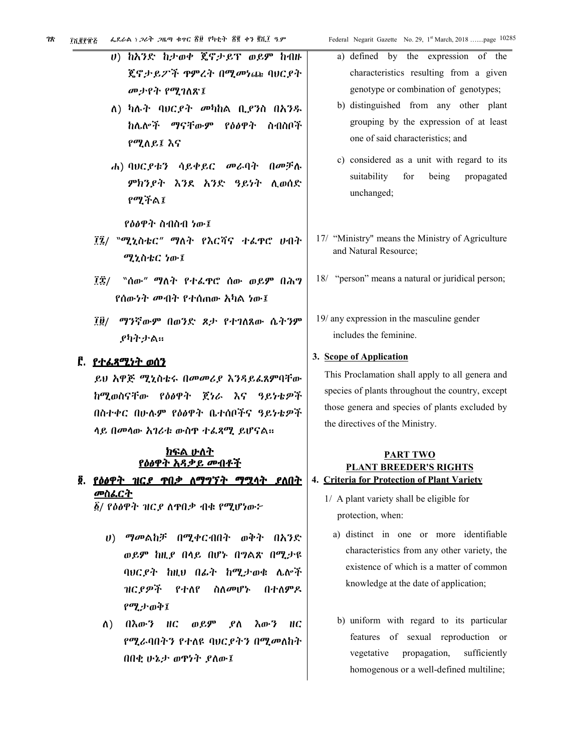- ሀ) ከእንድ ከታወቀ ጄኖታይፕ ወይም ከብዙ ጄኖታይፖች ዋምረት በሚመነጩ ባሀርያት መታየት የሚገለጽ፤
- ለ) ካሉት ባሀርያት መካከል ቢያንስ በአንዱ ከሌሎች ማናቸውም የዕፅዋት ስብስቦች የሚለይ፤ እና
- ሐ) ባሀርያቱን ሳይቀይር መራባት በመቻሉ ምክንያት እንደ አንድ ዓይነት ሲወሰድ የማችል፤
	- የዕፅዋት ስብስብ ነው፤
- ፲፯/ ``ሚኒስቴር" ማለት የእርሻና ተፌዋሮ ሀብት ሚኒስቴር ነው፤
- ፲፰/ "ሰው" ማለት የተፌዋሮ ሰው ወይም በሕግ የሰውነት መብት የተሰጠው አካል ነው፤
- ፲፱/ ማንኛውም በወንድ ጾታ የተገለጸው ሴትንም ያካትታል።

#### <u> ፫. *የተልጸሚነት ወ*ሰን</u>

ይህ አዋጅ ሚኒስቴሩ በመመሪያ እንዳይፌጸምባቸው ከሚወስናቸው የዕፅዋት ጀነራ እና ዓይነቴዎች በስተቀር በሁሉም የዕፅዋት ቤተሰቦችና ዓይነቴዎች ሳይ በመሳው አገሪቱ ውስዋ ተፌጻሚ ይሆናል።

## <u>ክፍል ሁለት</u> <u>የዕፅዋት አዳቃይ መብቶች</u>

# ፬. <u>የዕፅዋት ዝርያ ዋበቃ ለማግኘት ማሟሳት ያለበት</u> <u>መስፌርት</u>

፩/ የዕፅዋት ዝር*ያ* ለዋበቃ ብቁ የሚሆነው*፦* 

- ሀ) ማመልከቻ በሚቀርብበት ወቅት በአንድ ወይም ከዚያ በላይ በሆኑ በግልጽ በሚታዩ ባሀርደት ከዚህ በፊት ከሚታወቁ ሌሎች ዝርያዎች የተለየ ስለመሆኑ በተለምዶ የሚታወቅ፤
- ለ) በእውን ዘር ወይም ያለ እውን  $HC$ የሚራባበትን የተለዩ ባህርያትን በሚመለከተ በበቂ ሁኔታ ወዋነት ያለው፤
- a) defined by the expression of the characteristics resulting from a given genotype or combination of genotypes;
- b) distinguished from any other plant grouping by the expression of at least one of said characteristics; and
- c) considered as a unit with regard to its suitability for being propagated unchanged;
- 17/ "Ministry" means the Ministry of Agriculture and Natural Resource;
- 18/ "person" means a natural or juridical person;
- 19/ any expression in the masculine gender includes the feminine.

#### 3. Scope of Application

This Proclamation shall apply to all genera and species of plants throughout the country, except those genera and species of plants excluded by the directives of the Ministry.

# **PART TWO PLANT BREEDER'S RIGHTS** 4. Criteria for Protection of Plant Variety

- 1/ A plant variety shall be eligible for protection, when:
	- a) distinct in one or more identifiable characteristics from any other variety, the existence of which is a matter of common knowledge at the date of application;
	- b) uniform with regard to its particular features of sexual reproduction or vegetative propagation, sufficiently homogenous or a well-defined multiline;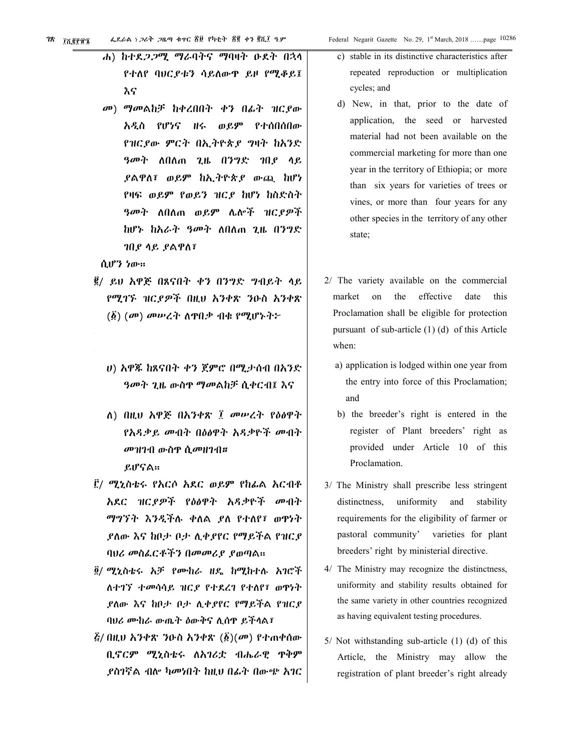- ሐ) ከተደ*ጋጋሚ ማራ*ባትና ማባዛት ዑደት በኋላ የተለየ ባሀር የቱን ሳይለውዋ ይዞ የሚቆይ፤ እና
- መ) ማመልከቻ ከቀረበበት ቀን በፊት ዝርያው አዲስ የሆነና ዘሩ ወይም የተሰበሰበው የዝርደው ምርት በኢትዮጵያ ግዛት ከአንድ *ዓመት* ለበለጠ ጊዜ በንግድ *ገ*በ*ያ* ላይ *ያ*ልዋለ፣ ወይም ከኢትዮጵ*ያ* ውጪ ከሆነ የዛፍ ወይም የወይን ዝርያ ከሆነ ከስድስት ዓመት ለበለጠ ወይም ሌሎች ዝርያዎች ከሆኑ ከአራት ዓመት ለበለጠ ጊዜ በንግድ ገበያ ሳይ ያልዋለ፣

ሲሆን ነው።

- ፪/ ይህ አዋጅ በጸናበት ቀን በንግድ ግብይት ላይ የሚገኙ ዝርደዎች በዚህ አንቀጽ ንዑስ አንቀጽ  $(\vec{\hat{g}})$   $(\vec{\theta})$  መሠረት ስዋቢቃ ብቁ የሚሆኑት፦
	- ሀ) አዋጁ ከጸናበት ቀን ጀምሮ በሚታሰብ በአንድ *ዓመት ጊ*ዜ ውስዋ ማመልከቻ ሲቀርብ፤ እና
	- ለ) በዚህ አዋጅ በአንቀጽ ፲ መሥረት የዕፅዋት የአዳቃይ መብት በዕፅዋት አዳቃዮች መብት *መዝገ*ብ ውስዋ ሲመዘገብ**።** ይሆናል።
- ፫/ ሚኒስቴሩ የአርሶ አደር ወይም የከፊል አርብቶ አደር ዝርያዎች የዕፅዋት አዳቃዮች መብት ማግኘት እንዲችሉ ቀለል ያለ የተለየ፣ ወዋነት ያለው እና ከቦታ ቦታ ሊቀያየር የማይችል የዝርያ ባህሪ መስፌርቶችን በመመሪያ ያወጣል።
- ፬/ ሚኒስቴሩ አቻ የሙከራ ዘዴ ከሚከተሉ አገሮች ለተገኘ ተመሳሳይ ዝርያ የተደረገ የተለየ፣ ወዋነት ደለው እና ከቦታ ቦታ ሊቀደየር የማይችል የዝርደ ባህሪ ሙከራ ውጤት ዕውቅና ሊሰዋ ይችላል፣
- $\vec{k}$ / በዚህ አንቀጽ ንዑስ አንቀጽ  $(\vec{k})$ (መ) የተጠቀሰው ቢኖርም ሚኒስቴሩ ለአገሪቷ ብሔራዊ ዋቅም *ያ*ስገኛል ብሎ ካመነበት ከዚህ በፊት በውጭ አገር
- c) stable in its distinctive characteristics after repeated reproduction or multiplication cycles; and
- d) New, in that, prior to the date of application, the seed or harvested material had not been available on the commercial marketing for more than one year in the territory of Ethiopia; or more than six years for varieties of trees or vines, or more than four years for any other species in the territory of any other state;
- 2/ The variety available on the commercial effective market on the date this Proclamation shall be eligible for protection pursuant of sub-article  $(1)$   $(d)$  of this Article when:
	- a) application is lodged within one year from the entry into force of this Proclamation; and
	- b) the breeder's right is entered in the register of Plant breeders' right as provided under Article 10 of this Proclamation.
- 3/ The Ministry shall prescribe less stringent uniformity distinctness, and stability requirements for the eligibility of farmer or pastoral community' varieties for plant breeders' right by ministerial directive.
- 4/ The Ministry may recognize the distinctness, uniformity and stability results obtained for the same variety in other countries recognized as having equivalent testing procedures.
- $5/$  Not withstanding sub-article (1) (d) of this Article, the Ministry may allow the registration of plant breeder's right already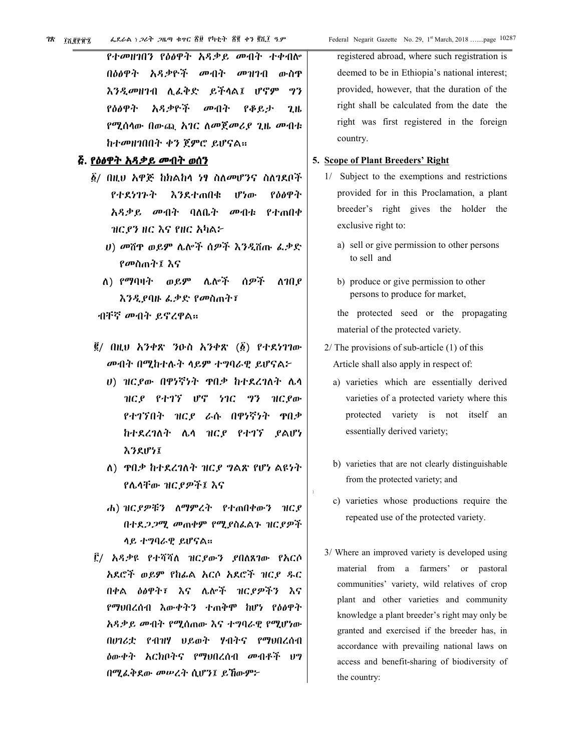የተመዘገበን የዕፅዋት አዳቃይ መብት ተቀብሎ በዕፅዋት አዳቃዮች መብት መዝገብ ውስዋ እንዲመዘገብ ሊፈቅድ ይችላል፤ ሆኖም 93 የዕፅዋት አዳቃዮች መብት የቆይታ  $2<sub>th</sub>$ የሚሰላው በውጪ አገር ለመጀመሪያ ጊዜ መብቱ ከተመዘገበበት ቀን ጀምሮ ይሆናል።

## <u>ễ. የዕፅዋት አዳቃይ መብት ወሰን</u>

- ፩/ በዚህ አዋጅ ከክልከላ <del>ነፃ ስለመ</del>ሆንና ስለገደቦች የተደነገጉት እንደተጠበቁ ሆነው የዕፅዋት አዳቃይ መብት ባለቤት መብቱ የተጠበቀ ዝርያን ዘር እና የዘር አካል፦
	- ሀ) መሸዋ ወይም ሌሎች ሰዎች እንዲሽጡ ፌቃድ የመስጠት፤ እና
	- ለ) የማባዛት ወይም ሌሎች ሰዎች ለገበ ያ እንዲደባዙ ፌቃድ የመስጠት፤
	- ብቸኛ መብት ይኖረዋል።
- $\vec{g}$ / በዚህ አንቀጽ ንዑስ አንቀጽ ( $\vec{g}$ ) የተደነገገው መብት በሚከተሉት ሳይም ተግባራዊ ይሆናል፦
	- ሀ) ዝርያው በዋነኛነት ዋበቃ ከተደረገለት ሌላ ዝርያ የተገኘ ሆኖ ነገር ግን ዝርያው የተገኘበት ዝርደ ራሱ በዋነኛነት ዋበቃ ከተደረገለት ሌላ ዝርያ የተገኘ ያልሆነ えろえげうエ
	- ለ) ዋቢቃ ከተደረገለት ዝርያ ግልጽ የሆነ ልዩነት የሌላቸው ዝርያዎች፤ እና
	- ሐ) ዝርያዎቹን ለማምረት የተጠበቀውን ዝርያ በተደ*ጋጋሚ መ*ጠቀም የሚያስፌልጉ ዝር*ያዎች* ሳይ ተግባራዊ ይሆናል።
- ፫/ አዳቃዩ የተሻሻለ ዝርያውን ያበለጸገው የእርሶ አደሮች ወይም የከፊል አርሶ አደሮች ዝርዖ ዱር በቀል ዕፅዋት፣ እና ሌሎች ዝርደዎችን እና የማህበረሰብ እውቀትን ተጠቅሞ ከሆነ የዕፅዋት አዳቃይ መብት የሚሰጠው እና ተግባራዊ የሚሆነው በሀገሪቷ የብዝሃ ህይወት ሃብትና የማህበረሰብ **ዕውቀት እርክቦትና የማህበረሰብ መብቶች ህግ** በሚፌቅደው መሠረት ሲሆን፤ ይኸውም፦

registered abroad, where such registration is deemed to be in Ethiopia's national interest; provided, however, that the duration of the right shall be calculated from the date the right was first registered in the foreign country.

#### 5. Scope of Plant Breeders' Right

- 1/ Subject to the exemptions and restrictions provided for in this Proclamation, a plant breeder's right gives the holder the exclusive right to:
	- a) sell or give permission to other persons to sell and
	- b) produce or give permission to other persons to produce for market,

the protected seed or the propagating material of the protected variety.

- $2/$  The provisions of sub-article  $(1)$  of this Article shall also apply in respect of:
	- a) varieties which are essentially derived varieties of a protected variety where this protected variety is not itself an essentially derived variety;
	- b) varieties that are not clearly distinguishable from the protected variety; and
	- c) varieties whose productions require the repeated use of the protected variety.
- 3/ Where an improved variety is developed using material from a farmers' or pastoral communities' variety, wild relatives of crop plant and other varieties and community knowledge a plant breeder's right may only be granted and exercised if the breeder has, in accordance with prevailing national laws on access and benefit-sharing of biodiversity of the country: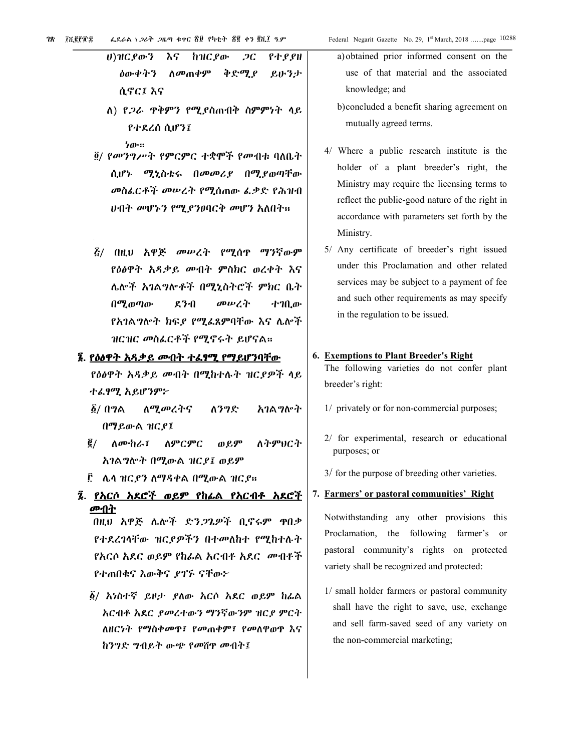| ሀ)ዝርያውን እና ከዝርያው <i>ጋ</i> ር የተያያዘ            |
|----------------------------------------------|
| <i>ለ</i> ውቀትን ለመጠቀም ቅድሚ <i>ያ ይ</i> ሁንታ       |
| ሲኖር፤ እና                                      |
| ለ) የ <i>ጋራ</i> ዋቅምን የሚያስጠብቅ ስምምነት ላይ         |
| የተደረሰ ሲሆን፤                                   |
| ነው።<br>፬/ የመንግሥት የምርምር ተቋሞች የመብቱ ባለቤት        |
| ሲሆኑ ሚኒስቴሩ በ <i>መመሪያ</i> በሚያወጣቸው              |
| መስፌርቶች መሠረት የሚሰጠው ፌቃድ የሕዝብ                   |
| <i>ህብት መ</i> ሆኑን የሚ <i>ያንፀ</i> ባርቅ መሆን አለበት። |
|                                              |
| <i>ξ/ በዚህ አዋጅ መሠረት የሚ</i> ሰዋ <i>ማን</i> ኛውም   |
| የዕፅዋት አዳቃይ መብት ምስክር ወረቀት እና                  |
| ሌሎች አገልግሎቶች በሚኒስትሮች ምክር ቤት                   |
| በሚወጣው ደንብ መሥረት ተገቢው                          |
| የአገልግሎት ክፍ <i>ያ የሚ</i> ፌጸምባቸው እና ሌሎች         |
| ዝርዝር መስፌርቶች የሚኖሩት ይሆናል።                      |

#### ፮. <u>የዕፅዋት አዳቃይ መብት ተሬፃሚ የማይሆንባቸው</u>

የዕፅዋት አዳቃይ መብት በሚከተሉት ዝርያዎች ላይ ተፈፃሚ አይሆንም፦

- $\vec{\bm{\delta}}$ / በግል <u>ለሚመረትና</u> ለንግድ አባል ማስቀት በማይውል ዝርያ፤
- $\vec{e}$  / ለትምህርት ስሙከራ፣ ለምርምር ወይም አገልግሎት በሚውል ዝርያ፤ ወይም
- ፫ ሌላ ዝር*ያን* ለማዳቀል በሚውል ዝር*ያ*።
- ፯. <u>የአርሶ አደሮች ወይም የከፊል የአርብቶ አደሮች</u> መብት

በዚህ አዋጅ ሌሎች ድን*ጋ*ጌዎች ቢኖሩም ዋቢቃ የተደረገሳቸው ዝርያዎችን በተመለከተ የሚከተሉት *የአርሶ አ*ደር ወይም የከፊል አርብቶ አደር *መ*ብቶች የተጠበቁና እውቅና ደገኙ ናቸው፦

*፩/ አነ*ስተኛ ይዞታ ደለው አርሶ አደር ወይም ከፊል <u>አርብቶ አደር *ያመ*ረተውን ማንኛውንም ዝር*ያ* ምርት</u> ለዘርነት የማስቀመዋ፣ የመጠቀም፣ የመለዋወዋ እና ከንግድ ግብይት ውጭ የመሽዋ መብት፤

- a) obtained prior informed consent on the use of that material and the associated knowledge; and
- b) concluded a benefit sharing agreement on mutually agreed terms.
- 4/ Where a public research institute is the holder of a plant breeder's right, the Ministry may require the licensing terms to reflect the public-good nature of the right in accordance with parameters set forth by the Ministry.
- 5/ Any certificate of breeder's right issued under this Proclamation and other related services may be subject to a payment of fee and such other requirements as may specify in the regulation to be issued.

# 6. Exemptions to Plant Breeder's Right

The following varieties do not confer plant breeder's right:

- 1/ privately or for non-commercial purposes;
- 2/ for experimental, research or educational purposes; or
- 3/ for the purpose of breeding other varieties.

#### 7. Farmers' or pastoral communities' Right

Notwithstanding any other provisions this Proclamation, the following farmer's or pastoral community's rights on protected variety shall be recognized and protected:

1/ small holder farmers or pastoral community shall have the right to save, use, exchange and sell farm-saved seed of any variety on the non-commercial marketing;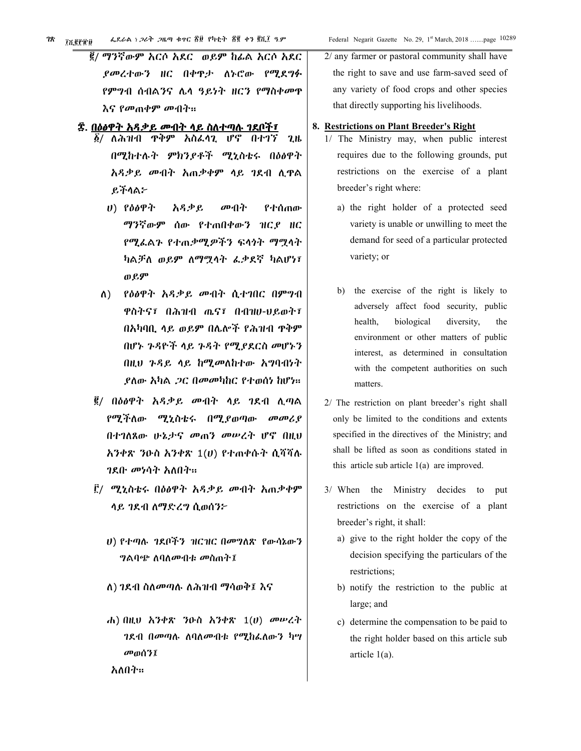| ፌደራል ነ ጋሪት ጋዜጣ ቁተር ፳፱ የካቲት ፳፪ ቀን ፪ሺ፲ ዓ.ም<br>in EP T D                                                                                                                                                   | Federal Negarit Gazette No. 29, 1st March, 2018 page 1028                                                                                                                                                                                                                       |
|---------------------------------------------------------------------------------------------------------------------------------------------------------------------------------------------------------|---------------------------------------------------------------------------------------------------------------------------------------------------------------------------------------------------------------------------------------------------------------------------------|
| ፪/ ማንኛውም አርሶ አደር ወይም ከፊል አርሶ አደር                                                                                                                                                                        | 2/ any farmer or pastoral community shall have                                                                                                                                                                                                                                  |
| ያመረተውን ዘር በቀዋታ ለኑሮው የሚደግፉ                                                                                                                                                                               | the right to save and use farm-saved seed of                                                                                                                                                                                                                                    |
| የምግብ ሰብልንና ሌላ ዓይነት ዘርን የማስቀመዋ                                                                                                                                                                           | any variety of food crops and other species                                                                                                                                                                                                                                     |
| እና የመጠቀም መብት።                                                                                                                                                                                           | that directly supporting his livelihoods.                                                                                                                                                                                                                                       |
| ፰. <u>በዕፅዋት አዳቃይ መብት ላይ ስለተጣሉ ገደቦች</u> ፣<br>፩/ ለሕዝብ ዋቅም አስፈሳጊ ሆኖ በተገኘ<br>2 <sub>th</sub>                                                                                                                | 8. Restrictions on Plant Breeder's Right<br>1/ The Ministry may, when public interest                                                                                                                                                                                           |
| በሚከተሉት ምክንያቶች ሚኒስቴሩ በዕፅዋት                                                                                                                                                                               | requires due to the following grounds, put                                                                                                                                                                                                                                      |
| አዳቃይ መብት አጠቃቀም ላይ ገደብ ሲዋል                                                                                                                                                                               | restrictions on the exercise of a plant                                                                                                                                                                                                                                         |
| ይችላል፦                                                                                                                                                                                                   | breeder's right where:                                                                                                                                                                                                                                                          |
| $U)$ የዕፅዋት<br>አዳቃይ<br>መብት<br>የተሰጠው<br>ማንኛውም ሰው የተጠበቀውን ዝርደ ዘር<br>የሚፌልጉ የተጠቃሚዎችን ፍላጎት ማሟላት<br>ካልቻለ ወይም ለማሟላት ፌቃደኛ ካልሆነ፣<br>ወይም                                                                           | a) the right holder of a protected seed<br>variety is unable or unwilling to meet the<br>demand for seed of a particular protected<br>variety; or                                                                                                                               |
| የዕፅዋት አዳቃይ መብት ሲተገበር በምግብ<br>$\Lambda$ )<br>ዋስትና፣ በሕዝብ ጤና፣ በብዝሀ-ህይወት፣<br>በአካባቢ ላይ ወይም በሌሎች የሕዝብ ዋቅም<br>በሆኑ ጉዳዮች ላይ ጉዳት የሚያደርስ መሆኑን<br>በዚህ ጉዳይ ላይ ከሚመለከተው አግባብነት<br><i>ያስው አካል ጋር በመመካከር የተወሰነ ከ</i> ሆነ። | the exercise of the right is likely to<br>b)<br>adversely affect food security, public<br>biological<br>diversity,<br>health,<br>the<br>environment or other matters of public<br>interest, as determined in consultation<br>with the competent authorities on such<br>matters. |
| ፪/ በዕፅዋት አዳቃይ መብት ሳይ ገደብ ሲጣል                                                                                                                                                                            | 2/ The restriction on plant breeder's right shall                                                                                                                                                                                                                               |
| የሚችለው ሚኒስቴሩ በሚያወጣው<br>$\omega \omega$                                                                                                                                                                   | only be limited to the conditions and extents                                                                                                                                                                                                                                   |
| በተገለጸው ሁኔታና መጠን መሠረት ሆኖ በዚህ                                                                                                                                                                             | specified in the directives of the Ministry; and                                                                                                                                                                                                                                |
| $\lambda$ ንቀጽ ንዑስ አንቀጽ $1(U)$ የተጠቀሱት ሲሻሻሉ                                                                                                                                                               | shall be lifted as soon as conditions stated in                                                                                                                                                                                                                                 |
| <i>ገ</i> ደቡ መነሳት አለበት።                                                                                                                                                                                  | this article sub article $1(a)$ are improved.                                                                                                                                                                                                                                   |

- ፫/ ሚኒስቴሩ በዕፅዋት አዳቃይ መብት አጠቃቀም ሳይ ገደብ ለማድረግ ሲወሰን፦
	- U) የተጣሉ ገደቦችን ዝርዝር በመግለጽ የውሳኔውን *ግ*ልባጭ ለባለ*ሙ*ብቱ መስጠት፤
	- ለ) ገደብ ስለመጣሉ ለሕዝብ ማሳወቅ፤ እና

አለበት።

ሐ) በዚህ አንቀጽ ንዑስ አንቀጽ  $1(U)$  መሠረት ገደብ በመጣሉ ለባለመብቱ የሚከራለውን ካሣ መወሰን፤

breeder's right, it shall: a) give to the right holder the copy of the decision specifying the particulars of the

restrictions on the exercise of a plant

put

3/ When the Ministry decides to

large; and

- restrictions; b) notify the restriction to the public at
- c) determine the compensation to be paid to the right holder based on this article sub article  $1(a)$ .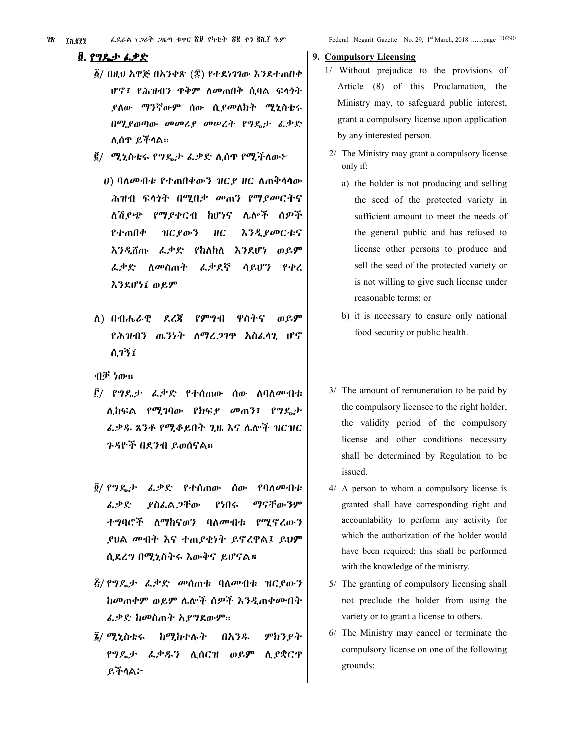#### ፱. <u>የግዴታ ፌቃድ</u>

- ፩/ በዚህ አዋጅ በአንቀጽ (፰) የተደነገገው እንደተጠበቀ ሆኖ፣ የሕዝብን ዋቅም ለመጠበቅ ሲባል ፍላጎት ያለው ማንኛውም ሰው ሲ*ያመ*ለክት ሚኒስቴሩ በሚያወጣው መመሪያ መሠረት የግዴታ ፌቃድ ሊሰዋ ይችላል።
- ፪/ ሚኒስቴሩ የግዴታ ፌቃድ ሲሰዋ የሚችለው፦
	- *ህ*) ባለ*ሙ*ብቱ የተጠበቀውን ዝር*ያ* ዘር ለጠቅሳሳው ሕዝብ ፍላጎት በሚበቃ መጠን የማያመርትና ለሽደጭ የማደቀርብ ከሆነና ሌሎች ሰዎች የተጠበቀ ዝርያውን НC *እንዲያመርቱና* የከለከለ እንደሆነ ወይም እንዲሽጡ ፌቃድ ፌቃደኛ *ፌ*ቃድ ለመስጠት ሳይሆን የቀረ እንደሆነ፤ ወይም
- $\Lambda$ ) በብሔራዊ ደረጀ የምግብ ዋስትና ወይም የሕዝብን ጨንነት ለማረጋገዋ አስፌሳጊ ሆኖ ሲገኝ፤

ብቻ ነው።

- ፫/ የግዴታ ፌቃድ የተሰጠው ሰው ስባለ*መብቱ* ሊከፍል የሚገባው የክፍያ መጠን፤ የግዴታ ፌቃዱ ጸንቶ የሚቆይበት ጊዜ እና ሌሎች ዝርዝር ንዳዮች በደንብ ይወሰናል።
- ፬/ የግዴታ ፌቃድ የተሰጠው ሰው የባለ*ሙ*ብቱ ፌቃድ ያስፌል ጋቸው የነበሩ ማናቸውንም ተግባሮች ለማከናወን ባለመብቱ የሚኖረውን ያህል መብት እና ተጠያቂነት ይኖረዋል፤ ይህም ሲደረግ በሚኒስትሩ እውቅና ይሆናል።
- *ξ/ የግዴታ ፌ*ቃድ መሰጠቱ ባለመብቱ ዝር*ያ*ውን ከመጠቀም ወይም ሌሎች ሰዎች እንዲጠቀሙበት ፌቃድ ከመስጠት አያግደውም።
- ፮/ ሚኒስቴሩ ከሚከተሉት ምክንያት በአንዱ የግዴታ ፌቃዱን ሊሰርዝ ወይም ሊ የቋርጥ ይችላል፦

#### 9. Compulsory Licensing

- 1/ Without prejudice to the provisions of Article (8) of this Proclamation, the Ministry may, to safeguard public interest, grant a compulsory license upon application by any interested person.
- 2/ The Ministry may grant a compulsory license only if:
	- a) the holder is not producing and selling the seed of the protected variety in sufficient amount to meet the needs of the general public and has refused to license other persons to produce and sell the seed of the protected variety or is not willing to give such license under reasonable terms; or
	- b) it is necessary to ensure only national food security or public health.
- 3/ The amount of remuneration to be paid by the compulsory licensee to the right holder, the validity period of the compulsory license and other conditions necessary shall be determined by Regulation to be issued.
- 4/ A person to whom a compulsory license is granted shall have corresponding right and accountability to perform any activity for which the authorization of the holder would have been required; this shall be performed with the knowledge of the ministry.
- 5/ The granting of compulsory licensing shall not preclude the holder from using the variety or to grant a license to others.
- 6/ The Ministry may cancel or terminate the compulsory license on one of the following grounds: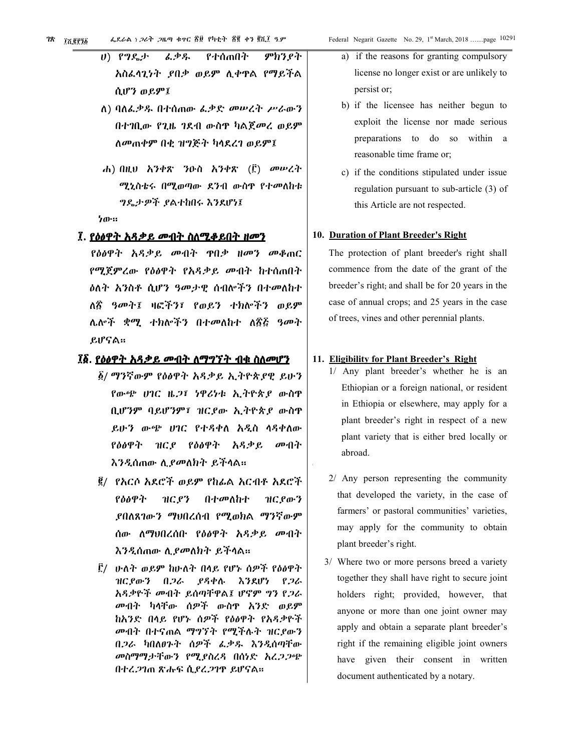ሀ) የግዴታ ፈቃዱ የተሰጠበት ምክንያት አስፌሳጊነት ,የበቃ ወይም ሊቀዋል የማይችል ሲሆን ወይም፤

- ለ) ባለፌቃዱ በተሰጠው ፌቃድ መሠረት ሥራውን በተገቢው የጊዜ ገደብ ውስዋ ካልጀመረ ወይም ለመጠቀም በቂ ዝግጅት ካላደረገ ወይም፤
- ሐ) በዚህ እንቀጽ ንዑስ እንቀጽ (፫) መሠረት ሚኒስቴሩ በሚወጣው ደንብ ውስዋ የተመለከቱ ግዴታዎች ያልተከበሩ እንደሆነ፤

ነው።

#### <u>፤. የዕፅዋት አዳቃይ መብት ስለሚቆይበት ዘመን</u>

የዕፅዋት አዳቃይ መብት ዋበቃ ዘመን መቆጠር የሚጀምረው የዕፅዋት የአዳቃይ መብት ከተሰጠበት *እ*ስት አንስቶ ሲሆን ዓመታዊ ሰብሎችን በተመለከተ ለ፳ ዓመት፤ ዛፎችን፣ የወይን ተክሎችን ወይም ሌሎች ቋሚ ተክሎችን በተመለከተ ለ፳፭ ዓመት ይሆናል።

## ፲፩. <u>የዕፅዋት አዳቃይ መብት ለማግኘት ብቁ ስለመሆን</u>

- ፩/ ማንኛውም የዕፅዋት አዳቃይ ኢትዮጵያዊ ይሁን የውጭ ሀገር ዜ*ጋ*፣ ነዋሪነቱ ኢትዮጵያ ውስዋ ቢሆንም ባይሆንም፣ ዝርያው ኢትዮጵያ ውስዋ ይሁን ውጭ ሀገር የተዳቀለ አዲስ ሳዳቀለው የዕፅዋት ዝርያ የዕፅዋት አዳቃይ መብት እንዲሰጠው ሲ*ያመ*ለክት ይችላል።
- ፪/ የእርሶ አደሮች ወይም የከፊል አርብቶ አደሮች ዝርያን የዕፅዋት በተመለከተ ዝር ያውን ,የበለጸገውን ማህበረሰብ የሚወክል ማንኛው**ም** ሰው ለማህበረሰቡ የዕፅዋት አዳቃይ መብት እንዲሰጠው ሲያመለክት ይችላል።
- ፫/ ሁለት ወይም ከሁለት በላይ የሆኑ ሰዎች የዕፅዋት ያዳቀሉ ዝር የውን በጋራ እንደሆነ የጋራ አዳቃዮች መብት ይሰጣቸዋል፤ ሆኖም ግን የጋራ መብት ካላቸው ሰዎች ውስዋ አንድ ወይም ከአንድ በላይ የሆኑ ሰዎች የዕፅዋት የአዳቃዮች መብት በተናጠል ማግኘት የሚችሉት ዝርያውን በ*ጋ*ራ ካበለ*ፀጉት* ሰዎች ፌቃዱ እንዲሰጣቸው መስማማታቸውን የሚያስረዳ በሰነድ አረ*ጋጋ*ጭ በተረ*ጋገ*ጠ ጽሑፍ ሲ*ያረጋገ*ዋ ይሆናል።
- a) if the reasons for granting compulsory license no longer exist or are unlikely to persist or;
- b) if the licensee has neither begun to exploit the license nor made serious preparations to do so within a reasonable time frame or;
- c) if the conditions stipulated under issue regulation pursuant to sub-article (3) of this Article are not respected.

#### 10. Duration of Plant Breeder's Right

The protection of plant breeder's right shall commence from the date of the grant of the breeder's right; and shall be for 20 years in the case of annual crops; and 25 years in the case of trees, vines and other perennial plants.

#### 11. Eligibility for Plant Breeder's Right

- 1/ Any plant breeder's whether he is an Ethiopian or a foreign national, or resident in Ethiopia or elsewhere, may apply for a plant breeder's right in respect of a new plant variety that is either bred locally or abroad.
- 2/ Any person representing the community that developed the variety, in the case of farmers' or pastoral communities' varieties, may apply for the community to obtain plant breeder's right.
- 3/ Where two or more persons breed a variety together they shall have right to secure joint holders right; provided, however, that anyone or more than one joint owner may apply and obtain a separate plant breeder's right if the remaining eligible joint owners have given their consent in written document authenticated by a notary.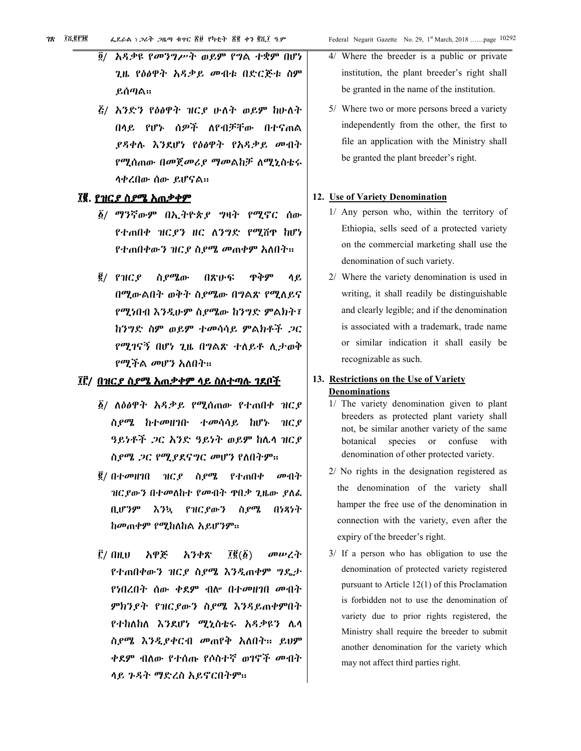- አዳቃዩ የመንግሥት ወይም የግል ተቋም በሆነ  $\tilde{g}/$ ጊዜ የዕፅዋት አዳቃይ መብቱ በድርጅቱ ስም ይሰጣል።
- *ξ/ አንድን የዕፅዋት ዝርያ ሁለት ወይም ከሁለት* በላይ የሆኑ ሰዎች ለየብቻቸው በተናጠል *ያዳቀሉ እን*ደሆነ የዕፅዋት የአዳቃይ መብት የሚሰጠው በመጀመሪያ ማመልከቻ ለሚኒስቴሩ ሳቀረበው ሰው ይሆናል።

# ፲፪. <u>የዝር*ያ* ስ*ያሜ እ*ጠቃቀም</u>

- ፩/ ማንኛውም በኢትዮጵ*ያ* ግዛት የሚኖር ሰው የተጠበቀ ዝርያን ዘር ለንግድ የሚሸዋ ከሆነ የተጠበቀውን ዝር*ያ ስያሜ መ*ጠቀም አለበት።
- $\vec{g}$ / የዝርያ ስያሜው ዋቅም ሳይ 介容の子 በሚውልበት ወቅት ስደሜው በግልጽ የሚለይና የሚነበብ እንዲሁም ስ,የሜው ከንግድ ምልክት፣ ከንግድ ስም ወይም ተመሳሳይ ምልክቶች ጋር የሚገናኝ በሆነ ጊዜ በግልጽ ተለይቶ ሊታወቅ *የሚችል መ*ሆን አለበት።

# ፲፫/ <u>በዝር*ያ* ስ*ያሚ አ*ሐ*ቃቀም ላይ ስለተጣሉ ገደቦች*</u>

- $\tilde{\beta}$ / ለዕፅዋት አዳቃይ የሚሰጠው የተጠበቀ ዝርዖ ስ*ያሜ* ከተመዘገቡ ተመሳሳይ ከሆኑ ዝር*ያ* ዓይነቶች *ጋ*ር አንድ ዓይነት ወይም ከሌላ ዝር*ያ* ስ,የሜ .ጋር የሚያደናግር መሆን የለበትም።
- $\frac{\mathbf{g}}{\mathbf{g}}$ / በተመዘገበ ዝርያ ስያሜ የተጠበቀ መብት ዝርያውን በተመለከተ የመብት ዋበቃ ጊዜው ያለፌ *እንኳ የዝርያውን ስያሚ* በነጻነት ቢሆንም ከመጠቀም የሚከለከል አይሆንም።
- Ê/ AH.V አዋጅ አንቀጽ  $\vec{l}$ **g** $(\vec{\pmb{\delta}})$ መሠረት የተጠበቀውን ዝርያ ስያሜ እንዲጠቀም ግዴታ የነበረበት ሰው ቀደም ብሎ በተመዘገበ መብት ምክንያት የዝርያውን ስያሜ እንዳይጠቀምበት የተከለከለ እንደሆነ ሚኒስቴሩ አዳቃዩን ሌሳ ስ*ያሜ እንዲያቀርብ መ*ጠየቅ አለበት። ይህም *ቀደም ብ*ለው የተሰጡ የሶስተኛ *ወገ*ኖች መብት ላይ ጉዳት ማድረስ አይኖርበትም።
- 4/ Where the breeder is a public or private institution, the plant breeder's right shall be granted in the name of the institution.
- 5/ Where two or more persons breed a variety independently from the other, the first to file an application with the Ministry shall be granted the plant breeder's right.

#### 12. Use of Variety Denomination

- 1/ Any person who, within the territory of Ethiopia, sells seed of a protected variety on the commercial marketing shall use the denomination of such variety.
- 2/ Where the variety denomination is used in writing, it shall readily be distinguishable and clearly legible; and if the denomination is associated with a trademark, trade name or similar indication it shall easily be recognizable as such.

# 13. Restrictions on the Use of Variety **Denominations**

- 1/ The variety denomination given to plant breeders as protected plant variety shall not, be similar another variety of the same botanical species or confuse with denomination of other protected variety.
- 2/ No rights in the designation registered as the denomination of the variety shall hamper the free use of the denomination in connection with the variety, even after the expiry of the breeder's right.
- $3/$  If a person who has obligation to use the denomination of protected variety registered pursuant to Article  $12(1)$  of this Proclamation is forbidden not to use the denomination of variety due to prior rights registered, the Ministry shall require the breeder to submit another denomination for the variety which may not affect third parties right.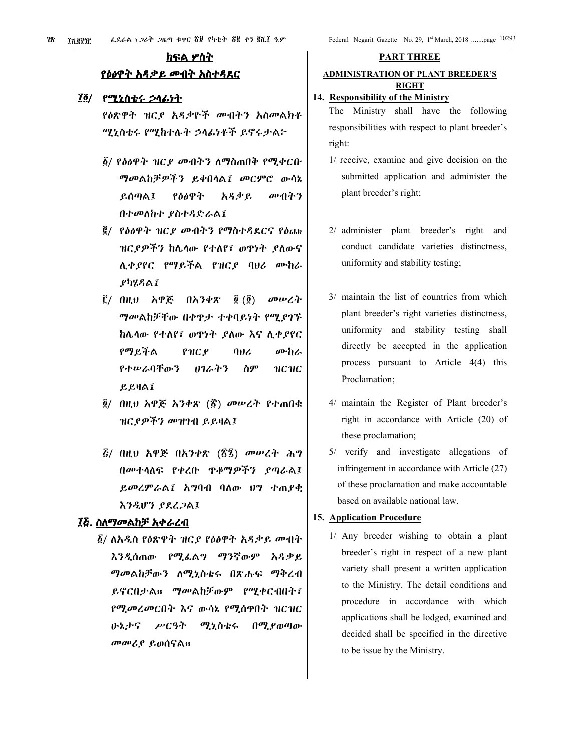# <u>ክፍል ሦስት</u> የዕፅዋት አዳቃይ መብት አስተዳደር

# ፲፬/ የሚኒስቴሩ ኃላፊነተ

የዕጽዋት ዝርደ አዳቃዮች መብትን አስመልክቶ ሚኒስቴሩ የሚከተሉት ኃላፊነቶች ይኖሩታል፦

- ፩/ የዕፅዋት ዝር*ያ መ*ብትን ለማስጠበቅ የሚቀርቡ ማመልከቻዎችን ይቀበላል፤ መርምሮ ውሳኔ ይሰጣል፤ የስልዋት አዳቃይ መብትን በተመለከተ ያስተዳድራል፤
- ፪/ የዕፅዋት ዝርያ መብትን የማስተዳደርና የዕጩ ዝርያዎችን ከሌላው የተለየ፤ ወዋነት ያለውና ሊቀያየር የማይችል የዝርያ ባህሪ ሙከራ ያካሂዳል፤
- ፫/ በዚህ አዋጅ በአንቀጽ  $\vec{g}(\vec{g})$ መሠረት *ግመ*ልከቻቸው በቀዋታ ተቀባይነት የሚያገኙ ከሌላው የተለየ፣ ወዋነት ያለው እና ሊቀያየር የማይችል 406 ሙከራ  $PHCP$ የተሠራባቸውን **のんよろ** ስም нснс ይይዛል፤
- ፬/ በዚህ አዋጅ አንቀጽ (፳) መሥረት የተጠበቁ ዝርያዎችን መዝገብ ይይዛል፤
- *ξ/ በዚህ አዋጅ በአንቀጽ (፳፯) መሠረት ሕግ* በመተሳለፍ የቀረቡ ዋቆማዎችን ያጣራል፤ ይመረምራል፤ አግባብ ባለው ህግ ተጠያቂ እንዲሆን ያደረጋል፤

# ፲፭. ስለማመልከቻ አቀራረብ

፩/ ለአዲስ የዕጽዋት ዝር*ያ* የዕፅዋት አዳቃይ መብት እንዲሰጠው የሚፌልግ ማንኛውም አዳቃይ *ግመ*ልከቻውን ለሚኒስቴሩ በጽሑፍ ማቅረብ ይኖርበታል። ማመልከቻውም የሚቀርብበት፣ የሚመረመርበት እና ውሳኔ የሚሰዋበት ዝርዝር ふねよう ሥርዓት ሚኒስቴሩ በሚያወጣው መመሪያ ይወሰናል።

#### **PART THREE**

# **ADMINISTRATION OF PLANT BREEDER'S RIGHT**

# 14. Responsibility of the Ministry

The Ministry shall have the following responsibilities with respect to plant breeder's right:

- 1/ receive, examine and give decision on the submitted application and administer the plant breeder's right;
- 2/ administer plant breeder's right and conduct candidate varieties distinctness, uniformity and stability testing;
- 3/ maintain the list of countries from which plant breeder's right varieties distinctness, uniformity and stability testing shall directly be accepted in the application process pursuant to Article  $4(4)$  this Proclamation;
- 4/ maintain the Register of Plant breeder's right in accordance with Article (20) of these proclamation;
- 5/ verify and investigate allegations of infringement in accordance with Article (27) of these proclamation and make accountable based on available national law.

## 15. Application Procedure

1/ Any breeder wishing to obtain a plant breeder's right in respect of a new plant variety shall present a written application to the Ministry. The detail conditions and procedure in accordance with which applications shall be lodged, examined and decided shall be specified in the directive to be issue by the Ministry.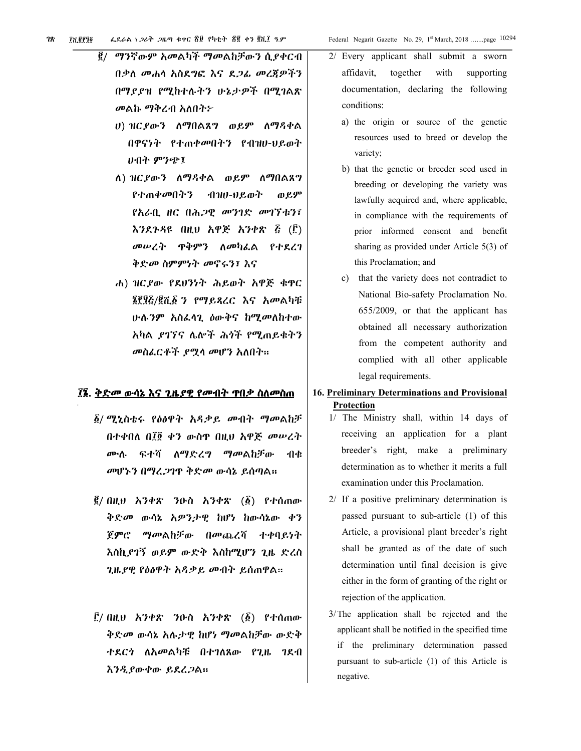- $\vec{e}$  / ማንኛውም አመልካች ማመልከቻውን ሲያቀርብ በቃለ መሐሳ አስደግፎ እና ደ*ጋሌ* መረጀዎችን በማደደዝ የሚከተሉትን ሁኔታዎች በሚገልጽ መልኩ ማቅረብ አለበት፦
	- ሀ) ዝርያውን ለማበልጸግ ወይም ለማዳቀል በዋናነት የተጠቀመበትን የብዝሀ-ህይወት ሀብት ምንጭ፤
	- ለ) ዝርያውን ለማዳቀል ወይም ለማበልጸግ የተጠቀመበትን *∗*በዝሀ-ሀይወት ወይም የአራቢ ዘር በሕጋዊ መንገድ መገኘቱን፣ እንደጉዳዩ በዚህ አዋጅ አንቀጽ ፭ (፫) መሠረት ዋቅምን ስመካፌል የተደረገ ቅድመ ስምምነት መኖሩን፤ እና
	- ሐ) ዝርያው የደሀንነት ሕይወት አዋጅ ቁዋር ፮፻፶፩/፪ሺ፩ ን የማይጻረር እና አመልካቹ ሁሉ*ንም አስ*ፌሳጊ *ዕ*ውቅና ከሚመለከተው አካል ደገኘና ሌሎች ሕጎች የሚጠይቁትን መስፌርቶች ያሟላ መሆን አለበት።

#### ፲፮. <u>ቅድመ ውሳኔ እና ጊዜያዊ የመብት ዋበቃ ስለመስጠ</u>

- ፩/ ሚኒስቴሩ የዕፅዋት አዳቃይ መብት ማመልከቻ በተቀበለ በ፲፬ ቀን ውስዋ በዚህ አዋጅ መሥረት ሙሉ ፍተሻ ስማድረግ ማመልከቻው - नीक् መሆኑን በማረጋገዋ ቅድመ ውሳኔ ይሰጣል።
- $\vec{g}/$  በዚህ አንቀጽ ንዑስ አንቀጽ  $(\vec{g})$  የተሰጠው ቅድመ ውሳኔ አዎንታዊ ከሆነ ከውሳኔው ቀን ጀምሮ ማመልከቻው በመጨረሻ ተቀባይነት እስኪያገኝ ወይም ውድቅ እስከሚሆን ጊዜ ድረስ ጊዜያዊ የዕፅዋት አዳቃይ መብት ይሰጠዋል።
- ፫/ በዚህ አንቀጽ ንዑስ አንቀጽ (፩) የተሰጠው ቅድመ ውሳኔ አሉታዊ ከሆነ ማመልከቻው ውድቅ ተደርጎ ለአመልካቹ በተገለጸው የጊዜ ገደብ እንዲያውቀው ይደረጋል።

2/ Every applicant shall submit a sworn affidavit, together with supporting documentation, declaring the following conditions:

- a) the origin or source of the genetic resources used to breed or develop the variety;
- b) that the genetic or breeder seed used in breeding or developing the variety was lawfully acquired and, where applicable, in compliance with the requirements of prior informed consent and benefit sharing as provided under Article  $5(3)$  of this Proclamation; and
- c) that the variety does not contradict to National Bio-safety Proclamation No. 655/2009, or that the applicant has obtained all necessary authorization from the competent authority and complied with all other applicable legal requirements.
- 16. Preliminary Determinations and Provisional Protection
	- 1/ The Ministry shall, within 14 days of receiving an application for a plant breeder's right, make a preliminary determination as to whether it merits a full examination under this Proclamation.
	- 2/ If a positive preliminary determination is passed pursuant to sub-article (1) of this Article, a provisional plant breeder's right shall be granted as of the date of such determination until final decision is give either in the form of granting of the right or rejection of the application.
	- 3/The application shall be rejected and the applicant shall be notified in the specified time if the preliminary determination passed pursuant to sub-article (1) of this Article is negative.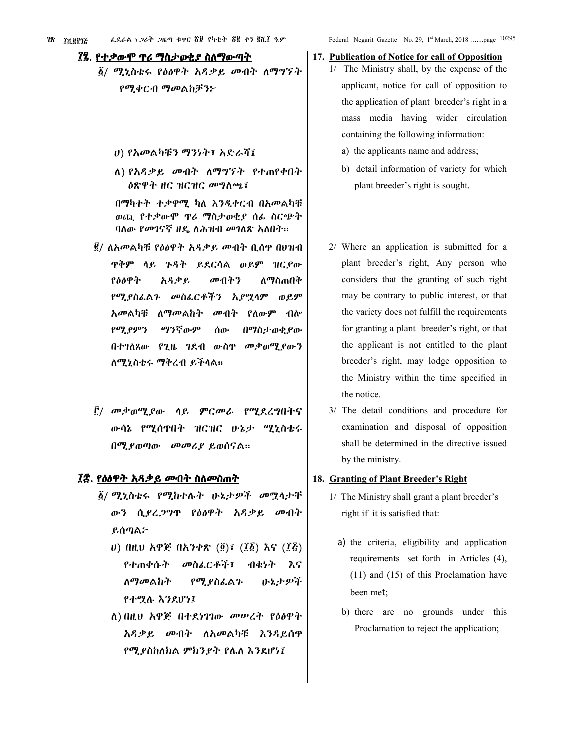# ፲፯. <u>የተቃውሞ ዋሪ ማስታወቂያ ስለማውጣት</u>

- *፩/ ሚኒ*ስቴሩ የዕፅዋት አዳቃይ መብት ለማግኘት የሚቀርብ ማመልከቻን፦
	- ሀ) የአመልካቹን ማንነት፣ አድራሻ፤
	- ለ) የአዳቃይ መብት ለማግኘት የተጠየቀበት ዕጽዋት ዘር ዝርዝር መግለጫ፣

በማካተት ተቃዋሚ ካለ እንዲቀርብ በአመልካቹ ወጪ የተቃውሞ ዋሪ ማስታወቂያ ሰፊ ስርጭት ባለው *የመገናኛ ዘ*ዴ ለሕዝብ መገለጽ አለበት።

- ፪/ ለአመልካቹ የዕፅዋት አዳቃይ መብት ቢሰዋ በሀዝብ ዋቅም ላይ ጉዳት ይደርሳል ወይም ዝርያው የዕፅዋት አዳቃይ መብትን ለማስጠበቅ የሚያስፌልጉ መስፌርቶችን ኢየሟሳም ወይም *አመ*ልካቹ ለ*ማመ*ልከት መብት የለውም ብሎ የሚያምን ማንኛውም ሰው በማስታወቂያው በተገለጸው የጊዜ ገደብ ውስዋ መቃወሚያውን ለሚኒስቴሩ ማቅረብ ይችላል።
- ፫/ መቃወሚያው ሳይ *ምርመራ የሚ*ደረግበትና ውሳኔ የሚሰዋበት ዝርዝር ሁኔታ ሚኒስቴሩ በሚያወጣው መመሪያ ይወሰናል።

#### ፲፰. <u>የዕፅዋት አዳቃይ ሙብት ስለመስጠት</u>

- ፩/ ሚኒስቴሩ የሚከተሉት ሁኔ*ታዎች መ*ሟላታቸ ውን ሲያረጋግዋ የዕፅዋት አዳቃይ መብት ይሰጣል፦
	- U) በዚህ አዋጅ በአንቀጽ  $(\tilde{g})$ ፣  $(\tilde{l}\tilde{g})$  እና  $(\tilde{l}\tilde{g})$ መስፌርቶች፣ የተጠቀሱት ብቁነት እና <u>ለማመልከት</u> የሚያስፌልጉ ふねよゆネ የተሟሉ እንደሆነ፤
	- ለ) በዚህ አዋጅ በተደነገገው መሠረት የዕፅዋት አዳቃይ መብት ለአመልካቹ እንዳይሰዋ የሚያስከለክል ምክንያት የሌለ እንደሆነ፤

# 17. Publication of Notice for call of Opposition 1/ The Ministry shall, by the expense of the

- applicant, notice for call of opposition to the application of plant breeder's right in a mass media having wider circulation containing the following information:
	- a) the applicants name and address;
	- b) detail information of variety for which plant breeder's right is sought.
- 2/ Where an application is submitted for a plant breeder's right. Any person who considers that the granting of such right may be contrary to public interest, or that the variety does not fulfill the requirements for granting a plant breeder's right, or that the applicant is not entitled to the plant breeder's right, may lodge opposition to the Ministry within the time specified in the notice
- 3/ The detail conditions and procedure for examination and disposal of opposition shall be determined in the directive issued by the ministry.

#### 18. Granting of Plant Breeder's Right

- 1/ The Ministry shall grant a plant breeder's right if it is satisfied that:
	- a) the criteria, eligibility and application requirements set forth in Articles (4),  $(11)$  and  $(15)$  of this Proclamation have been met:
	- b) there are no grounds under this Proclamation to reject the application;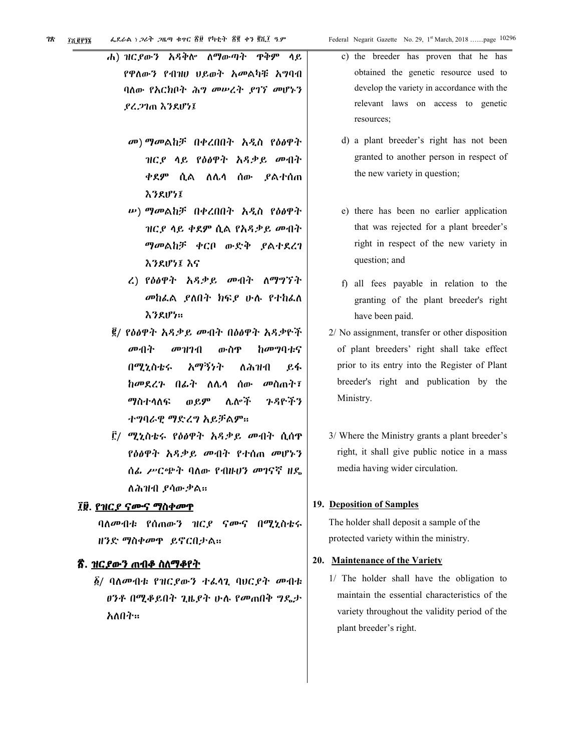- ለማውጣት ዋቅም ሐ) ዝርያውን አዳቅሎ ሳይ የዋለውን የብዝሀ ህይወት አመልካቹ አግባብ ባለው የአርክቦት ሕግ መሠረት ያገኘ መሆኑን ያረጋገጠ እንደሆነ፤
	- መ) ማመልከቻ በቀረበበት አዲስ የዕፅዋት ዝርያ ሳይ የዕፅዋት አዳቃይ መብት ቀደም ሲል ለሌሳ ሰው *ያ*ልተሰጠ えろえげって
	- *w***) ማመልከቻ በቀረበበት አዲስ የዕ**ፅዋት ዝርያ ሳይ ቀደም ሲል የአዳቃይ መብት ማመልከቻ ቀርቦ ውድቅ ያልተደረገ えろとげらえ えら
	- ረ) የዕፅዋት አዳቃይ መብት ለማግኘት መከፌል ,ያለበት ክፍያ ሁሉ የተከፌለ えろえげた:
- ፪/ የዕፅዋት አዳቃይ መብት በዕፅዋት አዳቃዮች ከመግባቱና መብት  $\theta$ <sup>D</sup> $\eta$ <sup>1</sup> $\eta$ ውስዋ በሚኒስቴሩ አማኝነት ለሕዝብ ይፋ *ከመደረጉ* በፊት ለሌላ ሰው መስጠት፲ ማስተሳለፍ  $0.69$ ሌሎች ንዳዮችን ተግባራዊ ማድረግ አይቻልም።
- ፫/ ሚኒስቴሩ የዕፅዋት አዳቃይ መብት ሲሰዋ የዕፅዋት አዳቃይ መብት የተሰጠ መሆኑን ሰፌ ሥርጭት ባለው የብዙሆን መገናኛ ዘዴ ለሕዝብ ያሳውቃል።

# ፲፱. <u>የዝር*ያ ና*ሙና ማስቀመዋ</u>

ባለመብቱ የሰጠውን ዝርያ ናሙና በሚኒስቴሩ ዘንድ ማስቀመዋ ይኖርበታል።

# <u>፳. ዝርያውን ጠብቆ ስለማቆየት</u>

*ል*/ ባለመብቱ የዝርያውን ተፌሳጊ ባህርያት መብቱ *ፀንቶ በሚቆይበት ጊዜያት ሁሉ የመ*ጠበቅ *ግ*ዴታ አለበት።

- c) the breeder has proven that he has obtained the genetic resource used to develop the variety in accordance with the relevant laws on access to genetic resources;
- d) a plant breeder's right has not been granted to another person in respect of the new variety in question;
- e) there has been no earlier application that was rejected for a plant breeder's right in respect of the new variety in question; and
- f) all fees payable in relation to the granting of the plant breeder's right have been paid.
- 2/ No assignment, transfer or other disposition of plant breeders' right shall take effect prior to its entry into the Register of Plant breeder's right and publication by the Ministry.
- 3/ Where the Ministry grants a plant breeder's right, it shall give public notice in a mass media having wider circulation.

#### 19. Deposition of Samples

The holder shall deposit a sample of the protected variety within the ministry.

#### 20. Maintenance of the Variety

1/ The holder shall have the obligation to maintain the essential characteristics of the variety throughout the validity period of the plant breeder's right.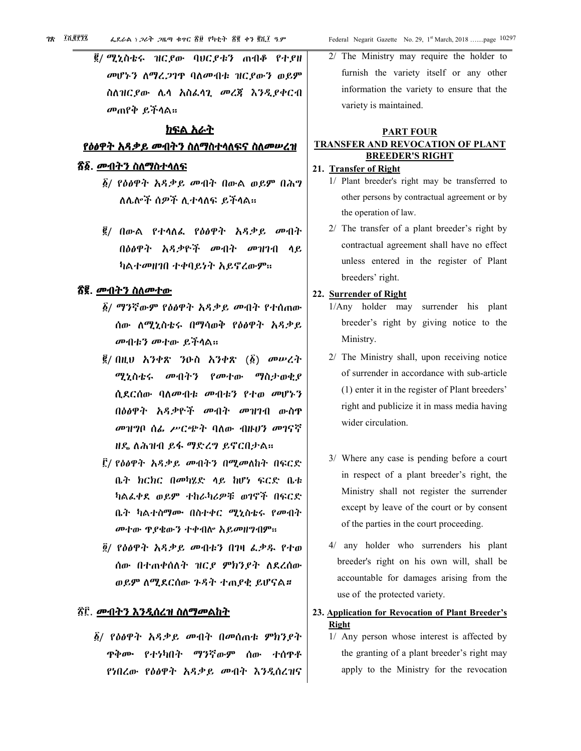*፪/ ሚኒ*ስቴሩ ዝርያው ባሀርያቱን ጠብቆ የተያዘ መሆኑን ስማሬ.ጋገዋ ባስመብቱ ዝርያውን ወይም ስለዝርያው ሌላ አስፌላጊ መረጃ እንዲያቀርብ መጠየቅ ይችላል።

#### ክፍል አራት

#### <u>የዕፅዋት አዳቃይ መብትን ስለማስተሳለፍና ስለመሠረዝ</u>

# *ኛ፩. <u>መብትን ስለማስተሳለፍ</u>*

- ፩/ የዕፅዋት አዳቃይ መብት በውል ወይም በሕግ ለሌሎች ሰዎች ሊተሳለፍ ይችሳል።
- ፪/ በውል የተሳለፌ የዕፅዋት አዳቃይ መብት በዕፅዋት አዳቃዮች መብት መዝገብ ላይ ካልተመዘገበ ተቀባይነት አይኖረውም።

#### <u> ኛ፪. መብትን ስለመተው</u>

- ፩/ ማንኛውም የዕፅዋት አዳቃይ መብት የተሰጠው ሰው ለሚኒስቴሩ በማሳወቅ የዕፅዋት አዳቃይ መብቱን መተው ይችላል።
- $\vec{g}/$  በዚህ አንቀጽ ንዑስ አንቀጽ  $(\vec{g})$  መሠረት ሚኒስቴሩ መብትን የመተው ማስታወቂያ ሲደርሰው ባለመብቱ መብቱን የተወ መሆኑን በዕፅዋት አዳቃዮች መብት መዝገብ ውስዋ መዝግቦ ሰፌ ሥርጭት ባለው ብዙሆን መገናኛ ዘዴ ለሕዝብ ይፋ ማድረግ ይኖርበታል።
- ፫/ የዕፅዋት አዳቃይ መብትን በሚመለከት በፍርድ ቤት ክርክር በመካሂድ ላይ ከሆነ ፍርድ ቤቱ ካልፌቀደ ወይም ተከራካሪዎቹ ወገኖች በፍርድ ቤት ካልተሰማሙ በስተቀር ሚኒስቴሩ የመብት መተው ዋያቄውን ተቀብሎ አይመዘግብም።
- ፬/ የዕፅዋት አዳቃይ መብቱን በገዛ ፌቃዱ የተወ ሰው በተጠቀሰለት ዝርደ ምክንደት ለደረሰው ወይም ስሚደርሰው ጉዳት ተጠያቂ ይሆናል።

# ፳፫. <u>መብትን እንዲሰረዝ ስለማመልከት</u>

፩/ የዕፅዋት አዳቃይ መብት በመሰጠቱ ምክንያት ዋቅሙ የተነካበት ማንኛውም ሰው ተሰዋቶ የነበረው የዕፅዋት አዳቃይ መብት እንዲሰረዝና

2/ The Ministry may require the holder to furnish the variety itself or any other information the variety to ensure that the variety is maintained.

## **PART FOUR TRANSFER AND REVOCATION OF PLANT BREEDER'S RIGHT**

#### 21. Transfer of Right

- 1/ Plant breeder's right may be transferred to other persons by contractual agreement or by the operation of law.
- 2/ The transfer of a plant breeder's right by contractual agreement shall have no effect unless entered in the register of Plant breeders' right.

#### 22. Surrender of Right

- 1/Any holder may surrender his plant breeder's right by giving notice to the Ministry.
- 2/ The Ministry shall, upon receiving notice of surrender in accordance with sub-article (1) enter it in the register of Plant breeders' right and publicize it in mass media having wider circulation.
- 3/ Where any case is pending before a court in respect of a plant breeder's right, the Ministry shall not register the surrender except by leave of the court or by consent of the parties in the court proceeding.
- 4/ any holder who surrenders his plant breeder's right on his own will, shall be accountable for damages arising from the use of the protected variety.
- 23. Application for Revocation of Plant Breeder's **Right** 
	- 1/ Any person whose interest is affected by the granting of a plant breeder's right may apply to the Ministry for the revocation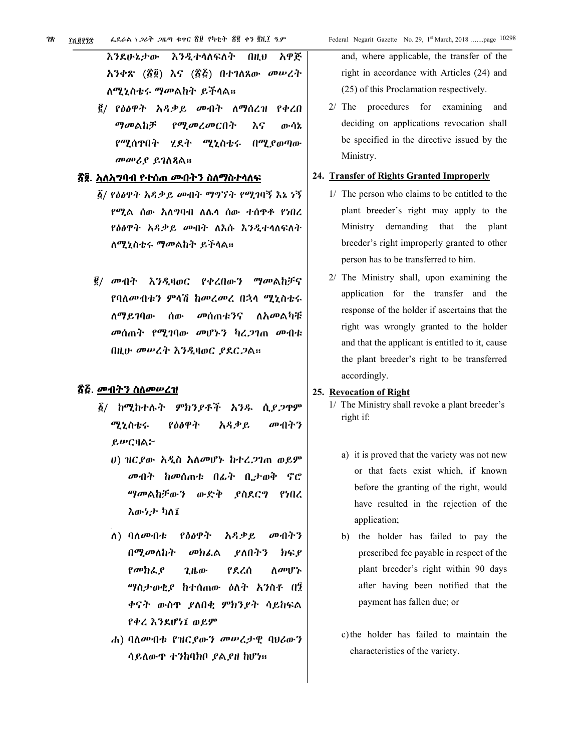|                    |  |  |  |  |  | እንደሁኔታው እንዲተሳለፍለት በዚህ አዋጅ     |
|--------------------|--|--|--|--|--|-------------------------------|
|                    |  |  |  |  |  | አንቀጽ (፳፬) እና (፳፭) በተገለጸው መሥረት |
| ለሚኒስቴሩ ማመልከት ይችላል። |  |  |  |  |  |                               |

፪/ የዕፅዋት አዳቃይ ሙብት ለማሰረዝ የቀረበ ማመልከቻ የሚመረመርበት እና ውሳኔ የሚሰዋበት ሂደት ሚኒስቴሩ <u>በሚያወጣው</u> መመሪያ ይገስጻል።

# <u>ኛ፬. አለአማባብ የተሰጠ መብትን ስለማስተሳለፍ</u>

- ፩/ የዕፅዋት አዳቃይ መብት ማግኘት የሚገባኝ እኔ ነኝ የሚል ሰው አለ**ግባብ ለሌ**ሳ ሰው ተሰዋቶ የነበረ የዕፅዋት አዳቃይ መብት ለእሱ እንዲተሳስፍስት ለሚኒስቴሩ ማመልከት ይችላል።
- ፪/ መብት እንዲዛወር የቀረበውን ማመልከቻና የባለመብቱን ምሳሽ ከመረመረ በኋላ ሚኒስቴሩ <u>ለማደንባው</u> ሰው መሰጠቱንና ለ*አመ*ልካቹ መሰጠት የሚገባው መሆኑን ካረ.ጋገጠ መብቱ በዚሁ መሠረት እንዲዛወር ያደርጋል።

#### <u>ኛ፭. መብትን ስለመሠረዝ</u>

- *፩/ ከሚከተሉት ምክንያቶች አንዱ* ሲያ*ጋ*ዋም የዕፅዋት መብትን ሚኒስቴሩ አዳቃይ ይሥርዛል፦
	- ሀ) ዝርያው አዲስ አለመሆኑ ከተረጋገጠ ወይም መብት ከመሰጠቱ በፊት ቢታወቅ ኖሮ ማመልከቻውን ውድቅ ያስደርግ የነበረ እውነታ ካለ፤
	- ለ) ባለ*ሙ*ብቱ የዕፅዋት አዳቃይ መብትን በሚመለከት መክፌል ያለበትን ክፍያ  $\rho$ <sub>*σ*υ $h$ <sub>ό</sub>,  $\rho$ </sub> የደረሰ ለመሆኑ  $2$ <sub>th</sub> $\sigma$ ማስታወቂያ ከተሰጠው ዕለት አንስቶ በ፺ ቀናት ውስዋ ያለበቂ ምክንያት ሳይከፍል የቀረ እንደሆነ፤ ወይም
	- ሐ) ባለመብቱ የዝርያውን መሠረታዊ ባሀሪውን ሳይለውዋ ተንከባክቦ ያልያዘ ከሆነ።

and, where applicable, the transfer of the right in accordance with Articles (24) and (25) of this Proclamation respectively.

2/ The procedures for examining and deciding on applications revocation shall be specified in the directive issued by the Ministry.

#### 24. Transfer of Rights Granted Improperly

- 1/ The person who claims to be entitled to the plant breeder's right may apply to the Ministry demanding that the plant breeder's right improperly granted to other person has to be transferred to him.
- 2/ The Ministry shall, upon examining the application for the transfer and the response of the holder if ascertains that the right was wrongly granted to the holder and that the applicant is entitled to it, cause the plant breeder's right to be transferred accordingly.

#### 25. Revocation of Right

- 1/ The Ministry shall revoke a plant breeder's right if:
	- a) it is proved that the variety was not new or that facts exist which, if known before the granting of the right, would have resulted in the rejection of the application;
	- b) the holder has failed to pay the prescribed fee payable in respect of the plant breeder's right within 90 days after having been notified that the payment has fallen due; or
	- c) the holder has failed to maintain the characteristics of the variety.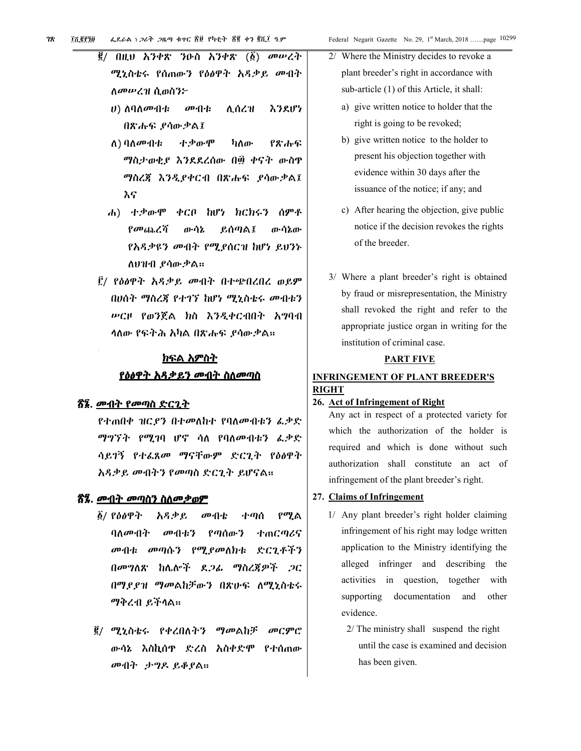|  | $\vec{g}$ / በዚህ አንቀጽ ንዑስ አንቀጽ ( $\vec{g}$ ) መሠረት |  |  |
|--|--------------------------------------------------|--|--|
|  | ሚኒስቴሩ የሰጠውን የዕፅዋት አዳቃይ መብት                       |  |  |
|  | ለ <i>መሡረዝ</i> ሲወስን፦                              |  |  |

- **の小た** እንደሆነ  $(0)$  ስባስሙብቱ ሊሰረዝ በጽሑፍ ደሳውቃል፤
- ለ) ባለ*ሙ*ብቱ ተቃውሞ ካለው የጽሑፍ ማስታወቂያ እንደደረሰው በ፴ ቀናት ውስዋ ማስረጃ እንዲያቀርብ በጽሑፍ ያሳውቃል፤ እና
- ሐ) ተቃውሞ ቀርቦ ከሆነ ክርክሩን ሰምቶ የመጨረሻ ውሳኔ ይሰጣል፤ ውሳኔው የአዳቃዩን መብት የሚያሰርዝ ከሆነ ይህንኑ ለህዝብ ደሳውቃል።
- ፫/ የዕፅዋት አዳ*ቃ*ይ መብት በተጭበረበረ ወይም በሀሰት ማስረጃ የተገኘ ከሆነ ሚኒስቴሩ መብቱን ሥርዞ የወንጀል ክስ እንዲቀርብበት አግባብ ሳለው የፍትሕ አካል በጽሑፍ ያሳውቃል።

# <u>ክፍል አምስት</u> <u>የዕፅዋት አዳቃይን ሙብት ስለመጣስ</u>

#### <u>ኛ፮. መብት የመጣስ ድርጊት</u>

የተጠበቀ ዝርደን በተመለከተ የባለመብቱን ፌቃድ ማግኘት የሚገባ ሆኖ ሳለ የባለመብቱን ፌቃድ ሳይገኝ የተፌጸመ ማናቸውም ድርጊት የዕፅዋት አዳቃይ መብትን የመጣስ ድርጊት ይሆናል።

#### <u>ጽ፯. መብት መጣስን ስለመቃወም</u>

- ፩/ የዕፅዋት አዳቃይ የሚል መብቴ ተጣሰ ባለመብት መብቱን የጣሰውን ተጠርጣሪና መብቱ መጣሱን የሚያመለክቱ ድርጊቶችን በመግለጽ ከሌሎች ደ*ጋሌ* ማስረጃዎች *ጋ*ር በማደደዝ ማመልከቻውን በጽሁፍ ለሚኒስቴሩ ማቅረብ ይችላል።
- *፪/ ሚኒ*ስቴሩ የቀረበለትን ማመልከቻ መርምሮ ውሳኔ እስኪሰዋ ድረስ አስቀድሞ የተሰጠው መብት ታግዶ ይቆያል።

| 2/ Where the Ministry decides to revoke a  |                                           |  |  |  |  |
|--------------------------------------------|-------------------------------------------|--|--|--|--|
| plant breeder's right in accordance with   |                                           |  |  |  |  |
| sub-article (1) of this Article, it shall: |                                           |  |  |  |  |
|                                            | a) give written notice to holder that the |  |  |  |  |
|                                            | right is going to be revoked;             |  |  |  |  |
|                                            |                                           |  |  |  |  |

- b) give written notice to the holder to present his objection together with evidence within 30 days after the issuance of the notice; if any; and
- c) After hearing the objection, give public notice if the decision revokes the rights of the breeder.
- 3/ Where a plant breeder's right is obtained by fraud or misrepresentation, the Ministry shall revoked the right and refer to the appropriate justice organ in writing for the institution of criminal case.

#### **PART FIVE**

# **INFRINGEMENT OF PLANT BREEDER'S RIGHT**

# 26. Act of Infringement of Right

Any act in respect of a protected variety for which the authorization of the holder is required and which is done without such authorization shall constitute an act of infringement of the plant breeder's right.

#### 27. Claims of Infringement

- 1/ Any plant breeder's right holder claiming infringement of his right may lodge written application to the Ministry identifying the alleged infringer and describing the activities in question, together with supporting documentation and other evidence.
	- $2/$  The ministry shall suspend the right until the case is examined and decision has been given.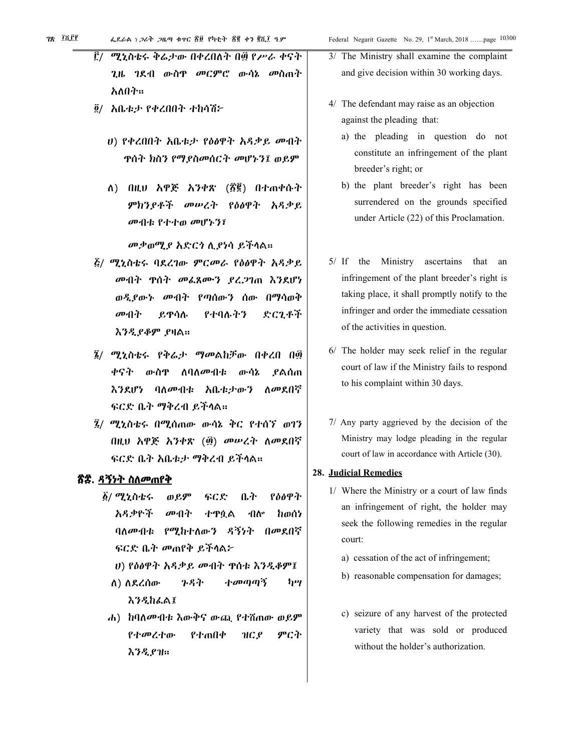- Ë/ ሚኒስቴሩ ቅሬታው በቀረበለት በ፴ የሥራ ቀናት ጊዜ ገደብ ውስዋ *መርም*ሮ ውሳኔ መስጠት አለበት።
- ፬/ አቤቱታ የቀረበበት ተከሳሽ፦
	- ሀ) የቀረበበት አቤቱታ የዕፅዋት አዳቃይ መብት ዋሰት ክስን የማያስመሰርት መሆኑን፤ ወይ**ም**
	- ለ) በዚህ አዋጅ አንቀጽ (፳፪) በተጠቀሱት ምክንደቶች መሠረት የዕፅዋት አዳቃይ መብቱ የተተወ መሆኑን፤

መቃወሚያ አድርጎ ሲያነሳ ይችሳል።

- *ξι ሚኒ*ስቴሩ ባደረገው ምርመራ የዕፅዋት አዳቃይ መብት ዋስት መፌጸሙን ያረጋገጠ እንደሆነ ወዲያውኑ መብት የጣሰውን ሰው በማሳወቅ ይዋሳሉ ድርጊቶች መብት የተባሉትን እንዲያቆም ያዛል።
- ፮/ ሚኒስቴሩ የቅሬ*ታ ማመ*ልከቻው በቀረበ በ፴ ቀናት ውስዋ **ለባለ**መብቱ ውሳኔ ያልሰጠ እንደሆነ ባለመብቱ አቤቱታውን ለመደበኛ ፍርድ ቤት ማቅረብ ይችላል።
- ፯/ ሚኒስቴሩ በሚሰጠው ውሳኔ ቅር የተሰኘ ወገን በዚህ አዋጅ አንቀጽ (፴) መሠረት ለመደበኛ ፍርድ ቤት አቤቱታ ማቅረብ ይችላል።

# <u>ጽ፰. ዳኝነት ስለመጠየቅ</u>

- የዕፅዋት ፩/ ሚኒስቴሩ ወይም ፍርድ ቤት አዳቃዮች መብት ተዋሷል ብስ hon'i ባለመብቱ የሚከተለውን ዳኝነት በመደበኛ ፍርድ ቤት መጠየቅ ይችላል፦
	- U) የዕፅዋት አዳቃይ መብት ዋሰቱ እንዲቆም፤
	- ስ) ስደረሰው ጉዳት ተመጣጣኝ հպ **እንዲከፌል፤**
- ሐ) ከባለመብቱ እውቅና ውጪ የተሽጠው ወይም የተመረተው የተጠበቀ  $HCf$ ምርት እንዲያዝ።
- 3/ The Ministry shall examine the complaint and give decision within 30 working days.
- 4/ The defendant may raise as an objection against the pleading that:
	- a) the pleading in question do not constitute an infringement of the plant breeder's right; or
	- b) the plant breeder's right has been surrendered on the grounds specified under Article (22) of this Proclamation.
- 5/ If the Ministry ascertains that an infringement of the plant breeder's right is taking place, it shall promptly notify to the infringer and order the immediate cessation of the activities in question.
- 6/ The holder may seek relief in the regular court of law if the Ministry fails to respond to his complaint within 30 days.
- 7/ Any party aggrieved by the decision of the Ministry may lodge pleading in the regular court of law in accordance with Article (30).

#### **28. Judicial Remedies**

- 1/ Where the Ministry or a court of law finds an infringement of right, the holder may seek the following remedies in the regular court.
	- a) cessation of the act of infringement;
	- b) reasonable compensation for damages;
	- c) seizure of any harvest of the protected variety that was sold or produced without the holder's authorization.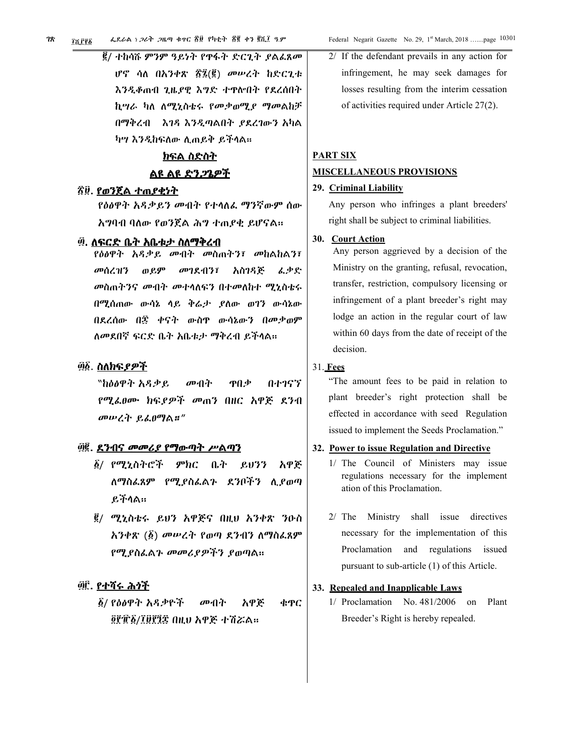፪/ ተከሳሹ ምንም ዓይነት የዋፋት ድርጊት *ያ*ልፈጸ*ሙ* ሆኖ ሳለ በአንቀጽ ፳፯(፪) መሠረት ከድርጊቱ እንዲቆጠብ ጊዜያዊ እግድ ተዋሎበት የደረሰበት ኪሣራ ካለ ለሚኒስቴሩ የመቃወሚያ ማመልከቻ በማቅረብ የአገዳ እንዲጣልበት ያደረገውን አካል ካሣ እንዲከፍለው ሊጠይቅ ይችላል።

# <u>ክፍል ስድስት</u> ልዩ ልዩ ድን*ጋ*ጌዎች

#### ፳፱. <u>የወንጀል ተጠ*ያቂነ*ት</u>

የዕፅዋት አዳቃይን መብት የተሳለፌ ማንኛውም ሰው አግባብ ባለው የወንጀል ሕግ ተጠያቂ ይሆናል።

#### ፴. ለፍርድ ቤት አቤቱ*ታ* ስለ**ማቅረ**ብ

የዕፅዋት አዳቃይ መብት መስጠትን፣ መከልከልን፣ ወይም መገደብን፣ አስገዳጅ መሰረዝን ፈቃድ መስጠትንና መብት መተሳለፍን በተመለከተ ሚኒስቴሩ በሚሰጠው ውሳኔ ሳይ ቅሬታ ያለው ወገን ውሳኔው በደረሰው በ፰ ቀናት ውስዋ ውሳኔውን በመቃወም ለመደበኛ ፍርድ ቤት አቤቱታ ማቅረብ ይችላል።

#### ፴፩. ስለክፍያዎች

"ከዕፅዋት አዳቃይ መብት ዋበቃ በተገናኘ የሚፌፀሙ ክፍ*ያዎች መ*ጠን በዘር አዋጅ ደንብ መሠረት ይፌፀማል።"

#### ፴፪. <u>ደንብና መመሪያ የማውጣት ሥልጣን</u>

- ፩/ የሚኒስትሮች ምክር ቤት ይህንን አዋጅ ለማስፌጸም የሚያስፌልጉ ደንቦችን ሊያወጣ ይችላል።
- ፪/ ሚኒስቴሩ ይህን አዋጅና በዚህ አንቀጽ ንዑስ አንቀጽ (፩) መሠረት የወጣ ደንብን ለማስፌጸም የሚያስፌልጉ መመሪያዎችን ያወጣል።

## ፴፫, የተሻሩ ሕሳች

፩/ የዕፅዋት አዳቃዮች መብት አዋጅ ቁዋር ፬፻፹፩/፲፱፻፺፰ በዚህ አዋጅ ተሽሯል።

2/ If the defendant prevails in any action for infringement, he may seek damages for losses resulting from the interim cessation of activities required under Article 27(2).

# **PART SIX MISCELLANEOUS PROVISIONS**

# 29. Criminal Liability

Any person who infringes a plant breeders' right shall be subject to criminal liabilities.

#### 30. Court Action

Any person aggrieved by a decision of the Ministry on the granting, refusal, revocation, transfer, restriction, compulsory licensing or infringement of a plant breeder's right may lodge an action in the regular court of law within 60 days from the date of receipt of the decision.

#### 31. Fees

"The amount fees to be paid in relation to plant breeder's right protection shall be effected in accordance with seed Regulation issued to implement the Seeds Proclamation."

## 32. Power to issue Regulation and Directive

- 1/ The Council of Ministers may issue regulations necessary for the implement ation of this Proclamation.
- 2/ The Ministry shall issue directives necessary for the implementation of this Proclamation and regulations issued pursuant to sub-article (1) of this Article.

#### 33. Repealed and Inapplicable Laws

 $1/$  Proclamation No.  $481/2006$  on Plant Breeder's Right is hereby repealed.